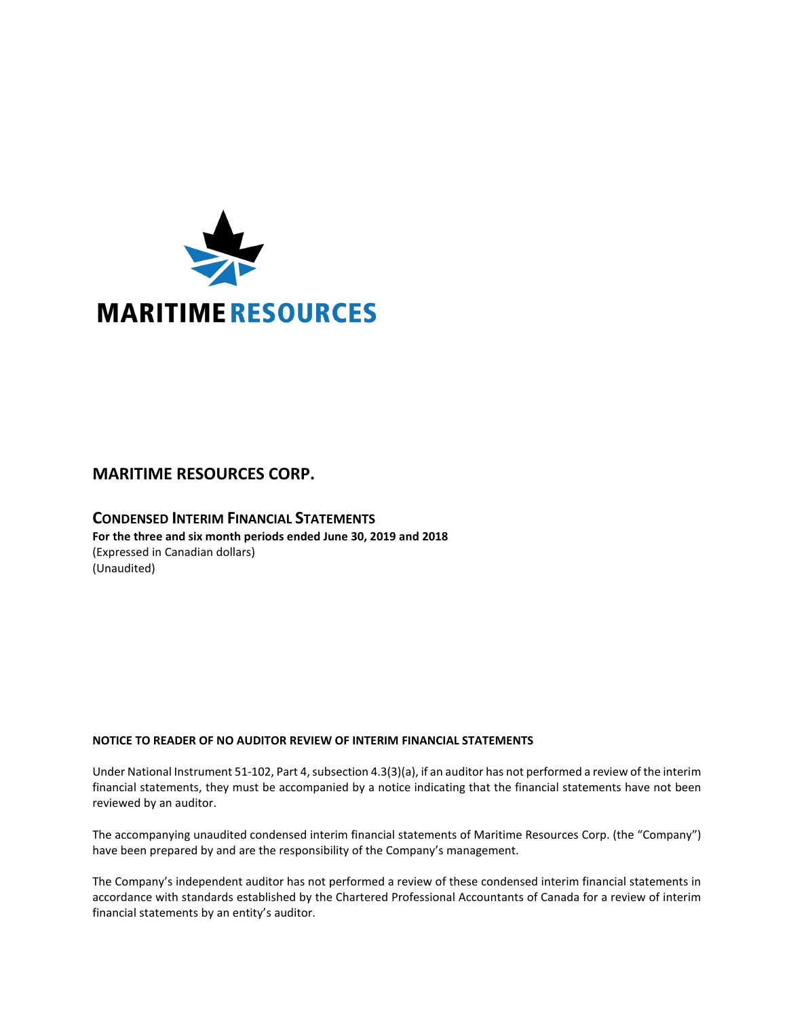

# **MARITIME RESOURCES CORP.**

# **CONDENSED INTERIM FINANCIAL STATEMENTS For the three and six month periods ended June 30, 2019 and 2018** (Expressed in Canadian dollars) (Unaudited)

# **NOTICE TO READER OF NO AUDITOR REVIEW OF INTERIM FINANCIAL STATEMENTS**

Under National Instrument 51-102, Part 4, subsection 4.3(3)(a), if an auditor has not performed a review of the interim financial statements, they must be accompanied by a notice indicating that the financial statements have not been reviewed by an auditor.

The accompanying unaudited condensed interim financial statements of Maritime Resources Corp. (the "Company") have been prepared by and are the responsibility of the Company's management.

The Company's independent auditor has not performed a review of these condensed interim financial statements in accordance with standards established by the Chartered Professional Accountants of Canada for a review of interim financial statements by an entity's auditor.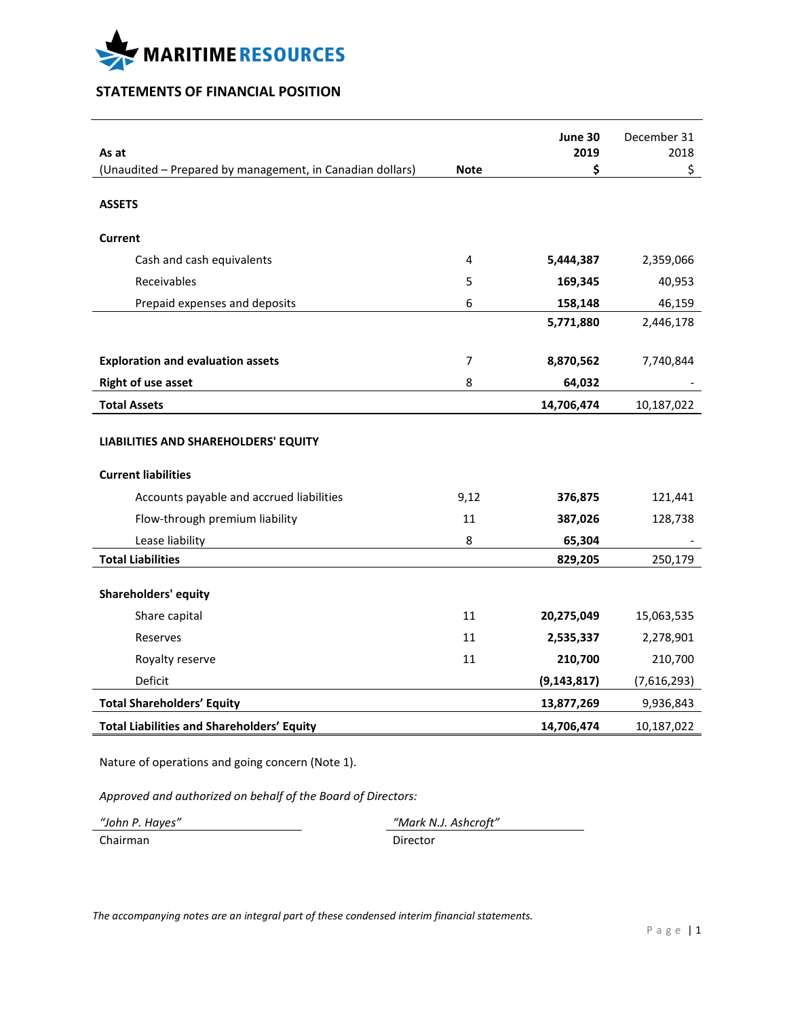

# **STATEMENTS OF FINANCIAL POSITION**

| As at                                                     |             | June 30<br>2019 | December 31<br>2018 |
|-----------------------------------------------------------|-------------|-----------------|---------------------|
| (Unaudited - Prepared by management, in Canadian dollars) | <b>Note</b> | \$              | \$                  |
| <b>ASSETS</b>                                             |             |                 |                     |
| Current                                                   |             |                 |                     |
| Cash and cash equivalents                                 | 4           | 5,444,387       | 2,359,066           |
| Receivables                                               | 5           | 169,345         | 40,953              |
| Prepaid expenses and deposits                             | 6           | 158,148         | 46,159              |
|                                                           |             | 5,771,880       | 2,446,178           |
| <b>Exploration and evaluation assets</b>                  | 7           | 8,870,562       | 7,740,844           |
| <b>Right of use asset</b>                                 | 8           | 64,032          |                     |
| <b>Total Assets</b>                                       |             | 14,706,474      | 10,187,022          |
| LIABILITIES AND SHAREHOLDERS' EQUITY                      |             |                 |                     |
| <b>Current liabilities</b>                                |             |                 |                     |
| Accounts payable and accrued liabilities                  | 9,12        | 376,875         | 121,441             |
| Flow-through premium liability                            | 11          | 387,026         | 128,738             |
| Lease liability                                           | 8           | 65,304          |                     |
| <b>Total Liabilities</b>                                  |             | 829,205         | 250,179             |
| <b>Shareholders' equity</b>                               |             |                 |                     |
| Share capital                                             | 11          | 20,275,049      | 15,063,535          |
| Reserves                                                  | 11          | 2,535,337       | 2,278,901           |
| Royalty reserve                                           | 11          | 210,700         | 210,700             |
| Deficit                                                   |             | (9, 143, 817)   | (7,616,293)         |
| <b>Total Shareholders' Equity</b>                         |             | 13,877,269      | 9,936,843           |
| <b>Total Liabilities and Shareholders' Equity</b>         |             | 14,706,474      | 10,187,022          |

Nature of operations and going concern (Note 1).

*Approved and authorized on behalf of the Board of Directors:*

Chairman Director

*"John P. Hayes" "Mark N.J. Ashcroft"*

*The accompanying notes are an integral part of these condensed interim financial statements.*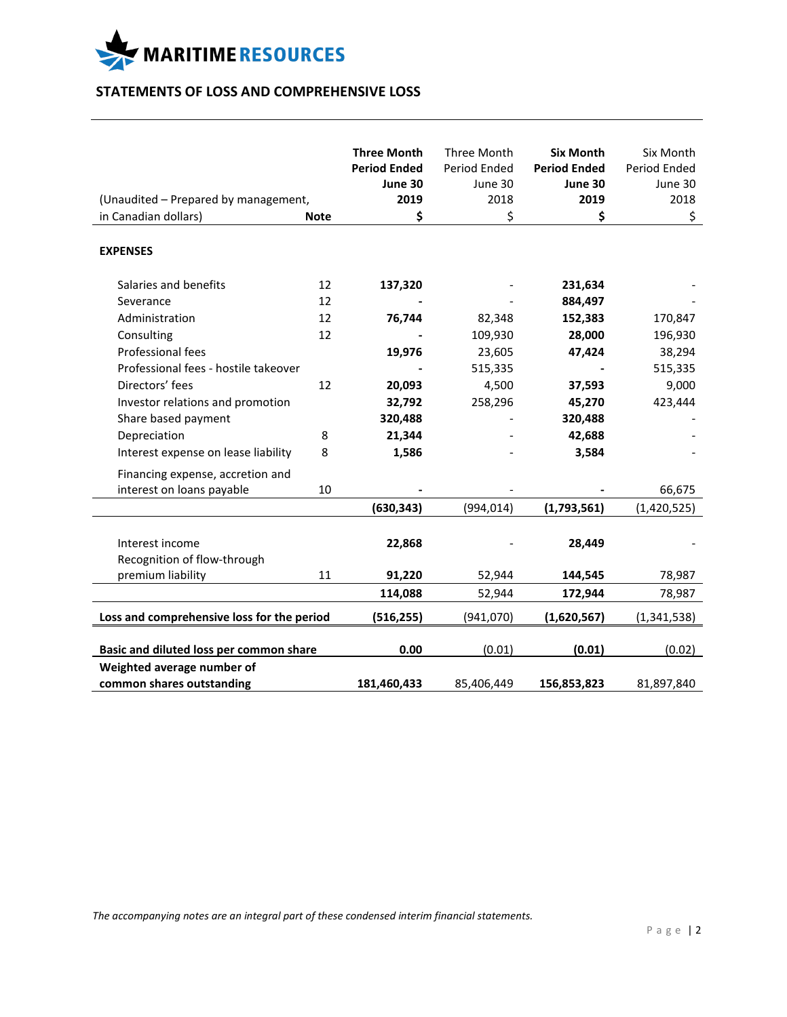

# **STATEMENTS OF LOSS AND COMPREHENSIVE LOSS**

|                                            |                                                                                                      |                                                                                                                             |                                                                                                                | Six Month                                                                                                                     |
|--------------------------------------------|------------------------------------------------------------------------------------------------------|-----------------------------------------------------------------------------------------------------------------------------|----------------------------------------------------------------------------------------------------------------|-------------------------------------------------------------------------------------------------------------------------------|
|                                            |                                                                                                      |                                                                                                                             |                                                                                                                | Period Ended                                                                                                                  |
|                                            |                                                                                                      |                                                                                                                             |                                                                                                                | June 30                                                                                                                       |
|                                            |                                                                                                      |                                                                                                                             |                                                                                                                | 2018                                                                                                                          |
|                                            |                                                                                                      |                                                                                                                             |                                                                                                                | \$                                                                                                                            |
|                                            |                                                                                                      |                                                                                                                             |                                                                                                                |                                                                                                                               |
| 12                                         | 137,320                                                                                              |                                                                                                                             | 231,634                                                                                                        |                                                                                                                               |
| 12                                         |                                                                                                      |                                                                                                                             | 884,497                                                                                                        |                                                                                                                               |
| 12                                         | 76,744                                                                                               | 82,348                                                                                                                      | 152,383                                                                                                        | 170,847                                                                                                                       |
| 12                                         |                                                                                                      | 109,930                                                                                                                     | 28,000                                                                                                         | 196,930                                                                                                                       |
|                                            | 19,976                                                                                               |                                                                                                                             | 47,424                                                                                                         | 38,294                                                                                                                        |
|                                            |                                                                                                      | 515,335                                                                                                                     |                                                                                                                | 515,335                                                                                                                       |
| 12                                         | 20,093                                                                                               | 4,500                                                                                                                       | 37,593                                                                                                         | 9,000                                                                                                                         |
|                                            | 32,792                                                                                               | 258,296                                                                                                                     | 45,270                                                                                                         | 423,444                                                                                                                       |
|                                            | 320,488                                                                                              |                                                                                                                             | 320,488                                                                                                        |                                                                                                                               |
| 8                                          | 21,344                                                                                               |                                                                                                                             | 42,688                                                                                                         |                                                                                                                               |
| 8                                          | 1,586                                                                                                |                                                                                                                             | 3,584                                                                                                          |                                                                                                                               |
|                                            |                                                                                                      |                                                                                                                             |                                                                                                                |                                                                                                                               |
|                                            |                                                                                                      |                                                                                                                             |                                                                                                                | 66,675                                                                                                                        |
|                                            |                                                                                                      |                                                                                                                             |                                                                                                                | (1,420,525)                                                                                                                   |
|                                            |                                                                                                      |                                                                                                                             |                                                                                                                |                                                                                                                               |
|                                            |                                                                                                      |                                                                                                                             |                                                                                                                |                                                                                                                               |
|                                            |                                                                                                      |                                                                                                                             |                                                                                                                |                                                                                                                               |
| 11                                         |                                                                                                      |                                                                                                                             |                                                                                                                | 78,987                                                                                                                        |
|                                            | 114,088                                                                                              | 52,944                                                                                                                      | 172,944                                                                                                        | 78,987                                                                                                                        |
| Loss and comprehensive loss for the period | (516, 255)                                                                                           | (941,070)                                                                                                                   | (1,620,567)                                                                                                    | (1,341,538)                                                                                                                   |
|                                            |                                                                                                      |                                                                                                                             |                                                                                                                | (0.02)                                                                                                                        |
|                                            |                                                                                                      |                                                                                                                             |                                                                                                                |                                                                                                                               |
|                                            |                                                                                                      |                                                                                                                             |                                                                                                                | 81,897,840                                                                                                                    |
|                                            | (Unaudited - Prepared by management,<br><b>Note</b><br>10<br>Basic and diluted loss per common share | <b>Three Month</b><br><b>Period Ended</b><br>June 30<br>2019<br>\$<br>(630, 343)<br>22,868<br>91,220<br>0.00<br>181,460,433 | Three Month<br>Period Ended<br>June 30<br>2018<br>\$<br>23,605<br>(994, 014)<br>52,944<br>(0.01)<br>85,406,449 | <b>Six Month</b><br><b>Period Ended</b><br>June 30<br>2019<br>\$<br>(1,793,561)<br>28,449<br>144,545<br>(0.01)<br>156,853,823 |

*The accompanying notes are an integral part of these condensed interim financial statements.*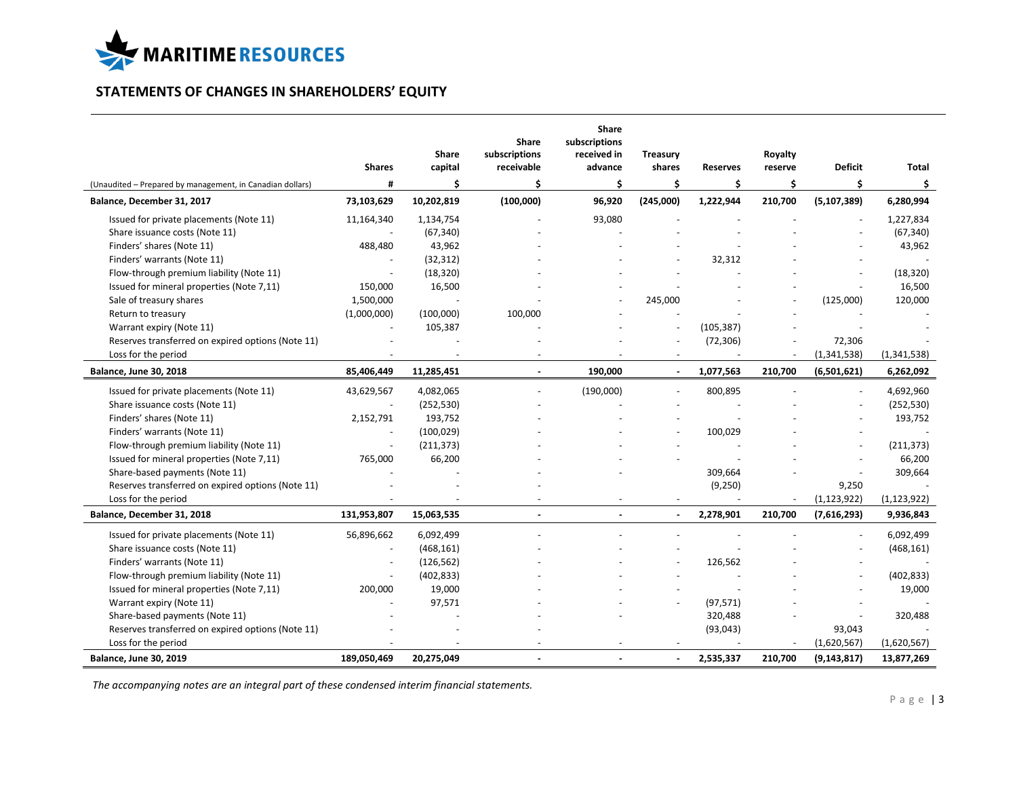

# **STATEMENTS OF CHANGES IN SHAREHOLDERS' EQUITY**

|                                                           | <b>Shares</b> | Share<br>capital | <b>Share</b><br>subscriptions<br>receivable | Share<br>subscriptions<br>received in<br>advance | <b>Treasury</b><br>shares | <b>Reserves</b> | Royalty<br>reserve       | <b>Deficit</b> | Total         |
|-----------------------------------------------------------|---------------|------------------|---------------------------------------------|--------------------------------------------------|---------------------------|-----------------|--------------------------|----------------|---------------|
| (Unaudited - Prepared by management, in Canadian dollars) | #             | \$               | \$                                          | \$                                               | \$                        | \$              | \$                       | \$             | \$            |
| Balance, December 31, 2017                                | 73,103,629    | 10,202,819       | (100,000)                                   | 96,920                                           | (245,000)                 | 1,222,944       | 210,700                  | (5, 107, 389)  | 6,280,994     |
| Issued for private placements (Note 11)                   | 11,164,340    | 1,134,754        |                                             | 93,080                                           |                           |                 |                          |                | 1,227,834     |
| Share issuance costs (Note 11)                            |               | (67, 340)        |                                             |                                                  |                           |                 |                          |                | (67, 340)     |
| Finders' shares (Note 11)                                 | 488,480       | 43,962           |                                             |                                                  |                           |                 |                          |                | 43,962        |
| Finders' warrants (Note 11)                               |               | (32, 312)        |                                             |                                                  |                           | 32,312          |                          |                |               |
| Flow-through premium liability (Note 11)                  |               | (18, 320)        |                                             |                                                  |                           |                 |                          |                | (18, 320)     |
| Issued for mineral properties (Note 7,11)                 | 150,000       | 16,500           |                                             |                                                  |                           |                 |                          |                | 16,500        |
| Sale of treasury shares                                   | 1,500,000     |                  |                                             |                                                  | 245,000                   |                 |                          | (125,000)      | 120,000       |
| Return to treasury                                        | (1,000,000)   | (100,000)        | 100,000                                     |                                                  |                           |                 |                          |                |               |
| Warrant expiry (Note 11)                                  |               | 105,387          |                                             |                                                  |                           | (105, 387)      |                          |                |               |
| Reserves transferred on expired options (Note 11)         |               |                  |                                             |                                                  |                           | (72, 306)       |                          | 72,306         |               |
| Loss for the period                                       |               |                  |                                             |                                                  |                           |                 | $\sim$                   | (1,341,538)    | (1,341,538)   |
| <b>Balance, June 30, 2018</b>                             | 85,406,449    | 11,285,451       | $\sim$                                      | 190,000                                          | $\sim$                    | 1,077,563       | 210,700                  | (6,501,621)    | 6,262,092     |
| Issued for private placements (Note 11)                   | 43,629,567    | 4,082,065        |                                             | (190,000)                                        |                           | 800,895         |                          | $\blacksquare$ | 4,692,960     |
| Share issuance costs (Note 11)                            |               | (252, 530)       |                                             |                                                  |                           |                 |                          |                | (252, 530)    |
| Finders' shares (Note 11)                                 | 2,152,791     | 193,752          |                                             |                                                  |                           |                 |                          |                | 193,752       |
| Finders' warrants (Note 11)                               |               | (100, 029)       |                                             |                                                  |                           | 100,029         |                          |                |               |
| Flow-through premium liability (Note 11)                  |               | (211, 373)       |                                             |                                                  |                           |                 |                          |                | (211, 373)    |
| Issued for mineral properties (Note 7,11)                 | 765,000       | 66,200           |                                             |                                                  |                           |                 |                          |                | 66,200        |
| Share-based payments (Note 11)                            |               |                  |                                             |                                                  |                           | 309,664         |                          |                | 309,664       |
| Reserves transferred on expired options (Note 11)         |               |                  |                                             |                                                  |                           | (9,250)         |                          | 9,250          |               |
| Loss for the period                                       |               |                  |                                             |                                                  |                           |                 | $\overline{\phantom{a}}$ | (1, 123, 922)  | (1, 123, 922) |
| Balance, December 31, 2018                                | 131,953,807   | 15,063,535       |                                             |                                                  |                           | 2,278,901       | 210,700                  | (7,616,293)    | 9,936,843     |
| Issued for private placements (Note 11)                   | 56,896,662    | 6,092,499        |                                             |                                                  |                           |                 |                          |                | 6,092,499     |
| Share issuance costs (Note 11)                            |               | (468, 161)       |                                             |                                                  |                           |                 |                          |                | (468, 161)    |
| Finders' warrants (Note 11)                               |               | (126, 562)       |                                             |                                                  |                           | 126,562         |                          |                |               |
| Flow-through premium liability (Note 11)                  | ٠             | (402, 833)       |                                             |                                                  |                           |                 |                          |                | (402, 833)    |
| Issued for mineral properties (Note 7,11)                 | 200,000       | 19,000           |                                             |                                                  |                           |                 |                          |                | 19,000        |
| Warrant expiry (Note 11)                                  |               | 97,571           |                                             |                                                  |                           | (97, 571)       |                          |                |               |
| Share-based payments (Note 11)                            |               |                  |                                             |                                                  |                           | 320,488         |                          |                | 320,488       |
| Reserves transferred on expired options (Note 11)         |               |                  |                                             |                                                  |                           | (93, 043)       |                          | 93,043         |               |
| Loss for the period                                       |               |                  |                                             |                                                  |                           |                 |                          | (1,620,567)    | (1,620,567)   |
| <b>Balance, June 30, 2019</b>                             | 189,050,469   | 20,275,049       | $\blacksquare$                              |                                                  | $\blacksquare$            | 2,535,337       | 210,700                  | (9, 143, 817)  | 13,877,269    |

*The accompanying notes are an integral part of these condensed interim financial statements.*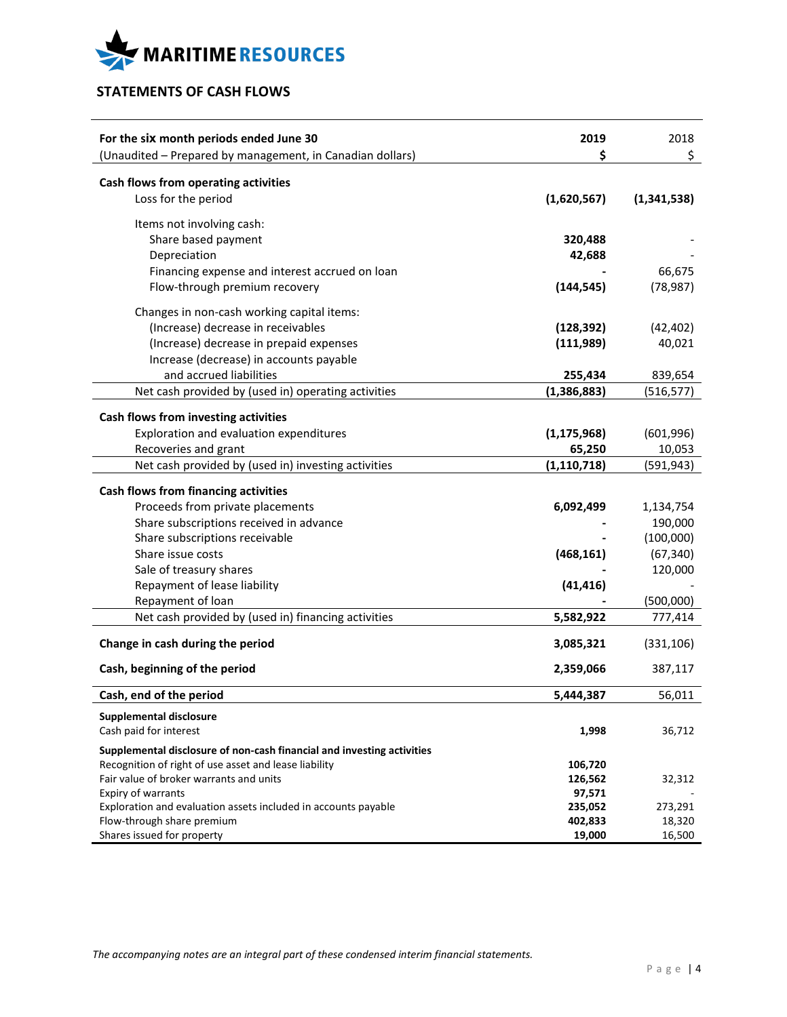

# **STATEMENTS OF CASH FLOWS**

| For the six month periods ended June 30                                                      | 2019<br>\$         | 2018              |
|----------------------------------------------------------------------------------------------|--------------------|-------------------|
| (Unaudited - Prepared by management, in Canadian dollars)                                    |                    | \$                |
| Cash flows from operating activities                                                         |                    |                   |
| Loss for the period                                                                          | (1,620,567)        | (1,341,538)       |
| Items not involving cash:                                                                    |                    |                   |
| Share based payment                                                                          | 320,488            |                   |
| Depreciation                                                                                 | 42,688             |                   |
| Financing expense and interest accrued on loan                                               |                    | 66,675            |
| Flow-through premium recovery                                                                | (144, 545)         | (78, 987)         |
| Changes in non-cash working capital items:                                                   |                    |                   |
| (Increase) decrease in receivables                                                           | (128, 392)         | (42, 402)         |
| (Increase) decrease in prepaid expenses                                                      | (111,989)          | 40,021            |
| Increase (decrease) in accounts payable                                                      |                    |                   |
| and accrued liabilities                                                                      | 255,434            | 839,654           |
| Net cash provided by (used in) operating activities                                          | (1,386,883)        | (516, 577)        |
|                                                                                              |                    |                   |
| Cash flows from investing activities                                                         |                    |                   |
| Exploration and evaluation expenditures                                                      | (1, 175, 968)      | (601, 996)        |
| Recoveries and grant                                                                         | 65,250             | 10,053            |
| Net cash provided by (used in) investing activities                                          | (1, 110, 718)      | (591, 943)        |
| Cash flows from financing activities                                                         |                    |                   |
| Proceeds from private placements                                                             | 6,092,499          | 1,134,754         |
| Share subscriptions received in advance                                                      |                    | 190,000           |
| Share subscriptions receivable                                                               |                    | (100,000)         |
| Share issue costs                                                                            | (468, 161)         | (67, 340)         |
| Sale of treasury shares                                                                      |                    | 120,000           |
| Repayment of lease liability                                                                 | (41, 416)          |                   |
| Repayment of loan                                                                            |                    | (500,000)         |
| Net cash provided by (used in) financing activities                                          | 5,582,922          | 777,414           |
| Change in cash during the period                                                             | 3,085,321          | (331, 106)        |
|                                                                                              |                    |                   |
| Cash, beginning of the period                                                                | 2,359,066          | 387,117           |
| Cash, end of the period                                                                      | 5,444,387          | 56,011            |
| <b>Supplemental disclosure</b>                                                               |                    |                   |
| Cash paid for interest                                                                       | 1,998              | 36,712            |
| Supplemental disclosure of non-cash financial and investing activities                       |                    |                   |
| Recognition of right of use asset and lease liability                                        | 106,720            |                   |
| Fair value of broker warrants and units                                                      | 126,562            | 32,312            |
| Expiry of warrants                                                                           | 97,571             |                   |
| Exploration and evaluation assets included in accounts payable<br>Flow-through share premium | 235,052<br>402,833 | 273,291<br>18,320 |
| Shares issued for property                                                                   | 19,000             | 16,500            |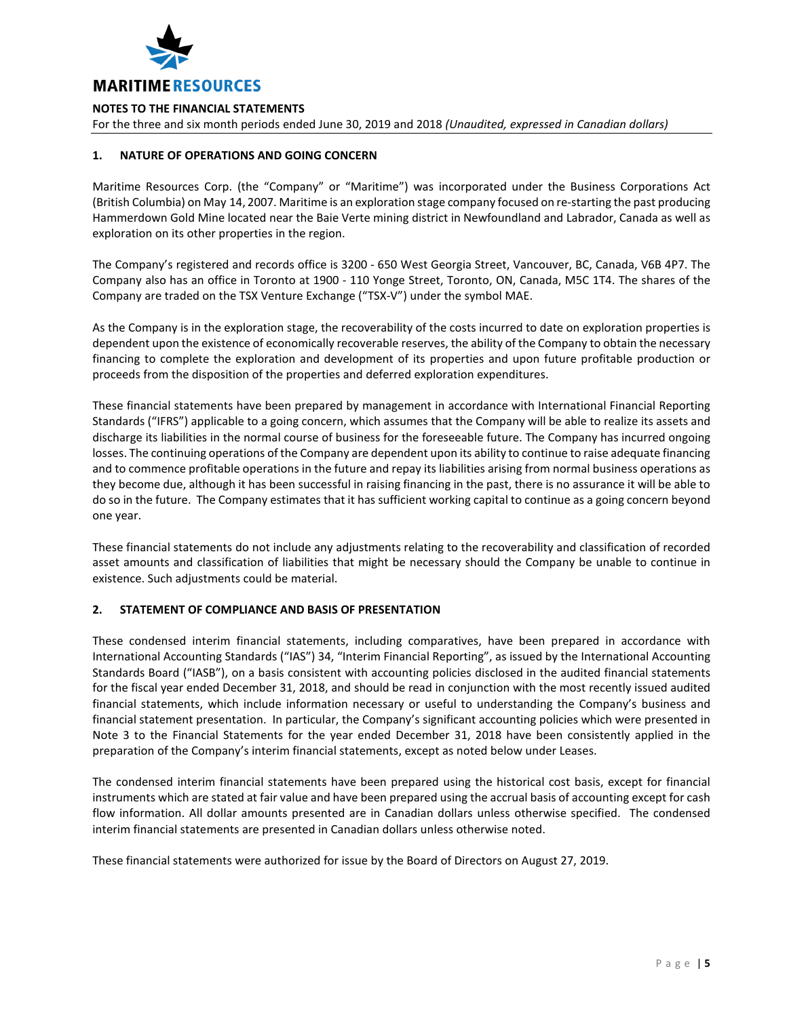

For the three and six month periods ended June 30, 2019 and 2018 *(Unaudited, expressed in Canadian dollars)*

# **1. NATURE OF OPERATIONS AND GOING CONCERN**

Maritime Resources Corp. (the "Company" or "Maritime") was incorporated under the Business Corporations Act (British Columbia) on May 14, 2007. Maritime is an exploration stage company focused on re-starting the past producing Hammerdown Gold Mine located near the Baie Verte mining district in Newfoundland and Labrador, Canada as well as exploration on its other properties in the region.

The Company's registered and records office is 3200 - 650 West Georgia Street, Vancouver, BC, Canada, V6B 4P7. The Company also has an office in Toronto at 1900 - 110 Yonge Street, Toronto, ON, Canada, M5C 1T4. The shares of the Company are traded on the TSX Venture Exchange ("TSX-V") under the symbol MAE.

As the Company is in the exploration stage, the recoverability of the costs incurred to date on exploration properties is dependent upon the existence of economically recoverable reserves, the ability of the Company to obtain the necessary financing to complete the exploration and development of its properties and upon future profitable production or proceeds from the disposition of the properties and deferred exploration expenditures.

These financial statements have been prepared by management in accordance with International Financial Reporting Standards ("IFRS") applicable to a going concern, which assumes that the Company will be able to realize its assets and discharge its liabilities in the normal course of business for the foreseeable future. The Company has incurred ongoing losses. The continuing operations of the Company are dependent upon its ability to continue to raise adequate financing and to commence profitable operations in the future and repay its liabilities arising from normal business operations as they become due, although it has been successful in raising financing in the past, there is no assurance it will be able to do so in the future. The Company estimates that it has sufficient working capital to continue as a going concern beyond one year.

These financial statements do not include any adjustments relating to the recoverability and classification of recorded asset amounts and classification of liabilities that might be necessary should the Company be unable to continue in existence. Such adjustments could be material.

# **2. STATEMENT OF COMPLIANCE AND BASIS OF PRESENTATION**

These condensed interim financial statements, including comparatives, have been prepared in accordance with International Accounting Standards ("IAS") 34, "Interim Financial Reporting", as issued by the International Accounting Standards Board ("IASB"), on a basis consistent with accounting policies disclosed in the audited financial statements for the fiscal year ended December 31, 2018, and should be read in conjunction with the most recently issued audited financial statements, which include information necessary or useful to understanding the Company's business and financial statement presentation. In particular, the Company's significant accounting policies which were presented in Note 3 to the Financial Statements for the year ended December 31, 2018 have been consistently applied in the preparation of the Company's interim financial statements, except as noted below under Leases.

The condensed interim financial statements have been prepared using the historical cost basis, except for financial instruments which are stated at fair value and have been prepared using the accrual basis of accounting except for cash flow information. All dollar amounts presented are in Canadian dollars unless otherwise specified. The condensed interim financial statements are presented in Canadian dollars unless otherwise noted.

These financial statements were authorized for issue by the Board of Directors on August 27, 2019.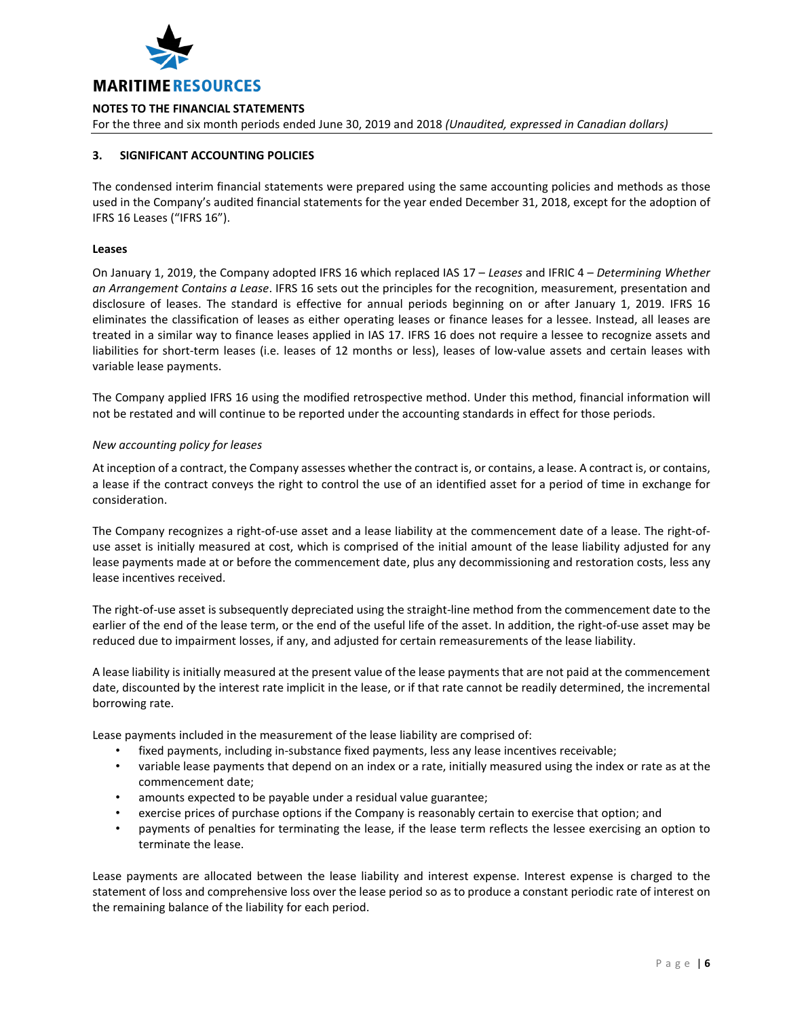

For the three and six month periods ended June 30, 2019 and 2018 *(Unaudited, expressed in Canadian dollars)*

# **3. SIGNIFICANT ACCOUNTING POLICIES**

The condensed interim financial statements were prepared using the same accounting policies and methods as those used in the Company's audited financial statements for the year ended December 31, 2018, except for the adoption of IFRS 16 Leases ("IFRS 16").

## **Leases**

On January 1, 2019, the Company adopted IFRS 16 which replaced IAS 17 – *Leases* and IFRIC 4 – *Determining Whether an Arrangement Contains a Lease*. IFRS 16 sets out the principles for the recognition, measurement, presentation and disclosure of leases. The standard is effective for annual periods beginning on or after January 1, 2019. IFRS 16 eliminates the classification of leases as either operating leases or finance leases for a lessee. Instead, all leases are treated in a similar way to finance leases applied in IAS 17. IFRS 16 does not require a lessee to recognize assets and liabilities for short-term leases (i.e. leases of 12 months or less), leases of low-value assets and certain leases with variable lease payments.

The Company applied IFRS 16 using the modified retrospective method. Under this method, financial information will not be restated and will continue to be reported under the accounting standards in effect for those periods.

### *New accounting policy for leases*

At inception of a contract, the Company assesses whether the contract is, or contains, a lease. A contract is, or contains, a lease if the contract conveys the right to control the use of an identified asset for a period of time in exchange for consideration.

The Company recognizes a right-of-use asset and a lease liability at the commencement date of a lease. The right-ofuse asset is initially measured at cost, which is comprised of the initial amount of the lease liability adjusted for any lease payments made at or before the commencement date, plus any decommissioning and restoration costs, less any lease incentives received.

The right-of-use asset is subsequently depreciated using the straight-line method from the commencement date to the earlier of the end of the lease term, or the end of the useful life of the asset. In addition, the right-of-use asset may be reduced due to impairment losses, if any, and adjusted for certain remeasurements of the lease liability.

A lease liability is initially measured at the present value of the lease payments that are not paid at the commencement date, discounted by the interest rate implicit in the lease, or if that rate cannot be readily determined, the incremental borrowing rate.

Lease payments included in the measurement of the lease liability are comprised of:

- fixed payments, including in-substance fixed payments, less any lease incentives receivable;
- variable lease payments that depend on an index or a rate, initially measured using the index or rate as at the commencement date;
- amounts expected to be payable under a residual value guarantee;
- exercise prices of purchase options if the Company is reasonably certain to exercise that option; and
- payments of penalties for terminating the lease, if the lease term reflects the lessee exercising an option to terminate the lease.

Lease payments are allocated between the lease liability and interest expense. Interest expense is charged to the statement of loss and comprehensive loss over the lease period so as to produce a constant periodic rate of interest on the remaining balance of the liability for each period.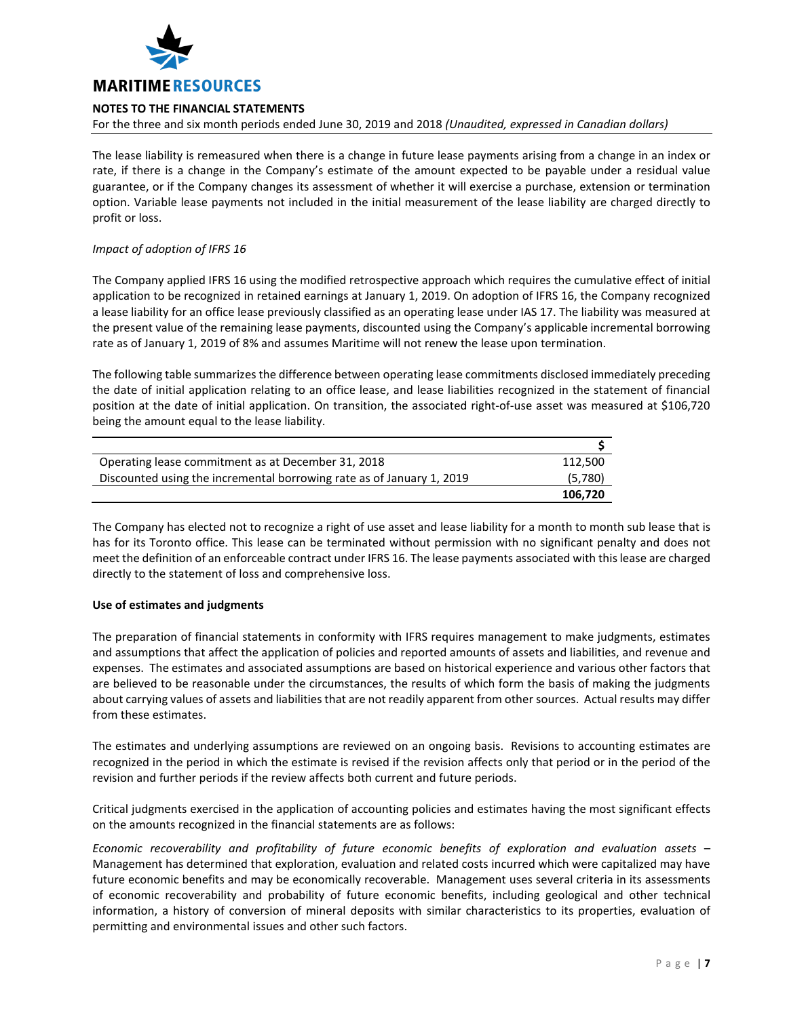

For the three and six month periods ended June 30, 2019 and 2018 *(Unaudited, expressed in Canadian dollars)*

The lease liability is remeasured when there is a change in future lease payments arising from a change in an index or rate, if there is a change in the Company's estimate of the amount expected to be payable under a residual value guarantee, or if the Company changes its assessment of whether it will exercise a purchase, extension or termination option. Variable lease payments not included in the initial measurement of the lease liability are charged directly to profit or loss.

# *Impact of adoption of IFRS 16*

The Company applied IFRS 16 using the modified retrospective approach which requires the cumulative effect of initial application to be recognized in retained earnings at January 1, 2019. On adoption of IFRS 16, the Company recognized a lease liability for an office lease previously classified as an operating lease under IAS 17. The liability was measured at the present value of the remaining lease payments, discounted using the Company's applicable incremental borrowing rate as of January 1, 2019 of 8% and assumes Maritime will not renew the lease upon termination.

The following table summarizes the difference between operating lease commitments disclosed immediately preceding the date of initial application relating to an office lease, and lease liabilities recognized in the statement of financial position at the date of initial application. On transition, the associated right-of-use asset was measured at \$106,720 being the amount equal to the lease liability.

| Operating lease commitment as at December 31, 2018                    | 112,500 |
|-----------------------------------------------------------------------|---------|
| Discounted using the incremental borrowing rate as of January 1, 2019 | (5,780) |
|                                                                       | 106.720 |

The Company has elected not to recognize a right of use asset and lease liability for a month to month sub lease that is has for its Toronto office. This lease can be terminated without permission with no significant penalty and does not meet the definition of an enforceable contract under IFRS 16. The lease payments associated with this lease are charged directly to the statement of loss and comprehensive loss.

### **Use of estimates and judgments**

The preparation of financial statements in conformity with IFRS requires management to make judgments, estimates and assumptions that affect the application of policies and reported amounts of assets and liabilities, and revenue and expenses. The estimates and associated assumptions are based on historical experience and various other factors that are believed to be reasonable under the circumstances, the results of which form the basis of making the judgments about carrying values of assets and liabilities that are not readily apparent from other sources. Actual results may differ from these estimates.

The estimates and underlying assumptions are reviewed on an ongoing basis. Revisions to accounting estimates are recognized in the period in which the estimate is revised if the revision affects only that period or in the period of the revision and further periods if the review affects both current and future periods.

Critical judgments exercised in the application of accounting policies and estimates having the most significant effects on the amounts recognized in the financial statements are as follows:

*Economic recoverability and profitability of future economic benefits of exploration and evaluation assets* – Management has determined that exploration, evaluation and related costs incurred which were capitalized may have future economic benefits and may be economically recoverable. Management uses several criteria in its assessments of economic recoverability and probability of future economic benefits, including geological and other technical information, a history of conversion of mineral deposits with similar characteristics to its properties, evaluation of permitting and environmental issues and other such factors.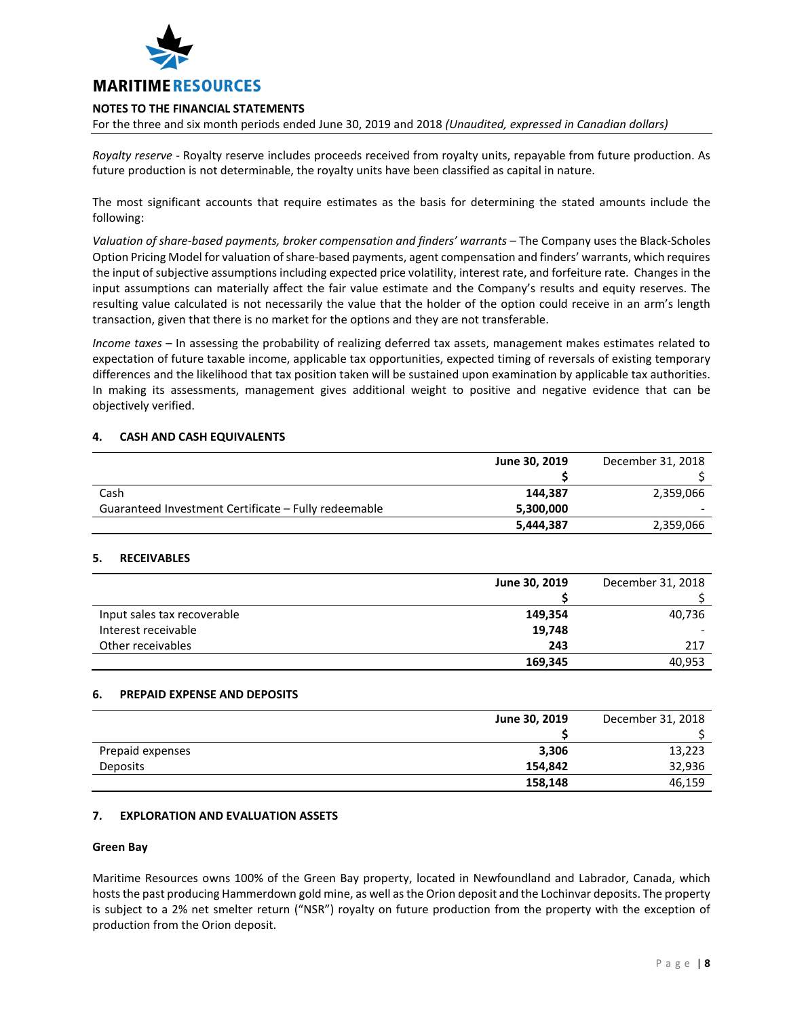

For the three and six month periods ended June 30, 2019 and 2018 *(Unaudited, expressed in Canadian dollars)*

*Royalty reserve* - Royalty reserve includes proceeds received from royalty units, repayable from future production. As future production is not determinable, the royalty units have been classified as capital in nature.

The most significant accounts that require estimates as the basis for determining the stated amounts include the following:

*Valuation of share-based payments, broker compensation and finders' warrants* – The Company uses the Black-Scholes Option Pricing Model for valuation of share-based payments, agent compensation and finders' warrants, which requires the input of subjective assumptions including expected price volatility, interest rate, and forfeiture rate. Changes in the input assumptions can materially affect the fair value estimate and the Company's results and equity reserves. The resulting value calculated is not necessarily the value that the holder of the option could receive in an arm's length transaction, given that there is no market for the options and they are not transferable.

*Income taxes* – In assessing the probability of realizing deferred tax assets, management makes estimates related to expectation of future taxable income, applicable tax opportunities, expected timing of reversals of existing temporary differences and the likelihood that tax position taken will be sustained upon examination by applicable tax authorities. In making its assessments, management gives additional weight to positive and negative evidence that can be objectively verified.

### **4. CASH AND CASH EQUIVALENTS**

|                                                      | June 30, 2019 | December 31, 2018 |
|------------------------------------------------------|---------------|-------------------|
|                                                      |               |                   |
| Cash                                                 | 144.387       | 2,359,066         |
| Guaranteed Investment Certificate – Fully redeemable | 5,300,000     |                   |
|                                                      | 5,444,387     | 2,359,066         |

### **5. RECEIVABLES**

|                             | June 30, 2019 | December 31, 2018 |
|-----------------------------|---------------|-------------------|
|                             |               |                   |
| Input sales tax recoverable | 149,354       | 40,736            |
| Interest receivable         | 19,748        |                   |
| Other receivables           | 243           | 217               |
|                             | 169,345       | 40,953            |

### **6. PREPAID EXPENSE AND DEPOSITS**

|                  | June 30, 2019 | December 31, 2018 |
|------------------|---------------|-------------------|
|                  |               |                   |
| Prepaid expenses | 3,306         | 13,223            |
| <b>Deposits</b>  | 154,842       | 32,936            |
|                  | 158,148       | 46,159            |

# **7. EXPLORATION AND EVALUATION ASSETS**

### **Green Bay**

Maritime Resources owns 100% of the Green Bay property, located in Newfoundland and Labrador, Canada, which hosts the past producing Hammerdown gold mine, as well as the Orion deposit and the Lochinvar deposits. The property is subject to a 2% net smelter return ("NSR") royalty on future production from the property with the exception of production from the Orion deposit.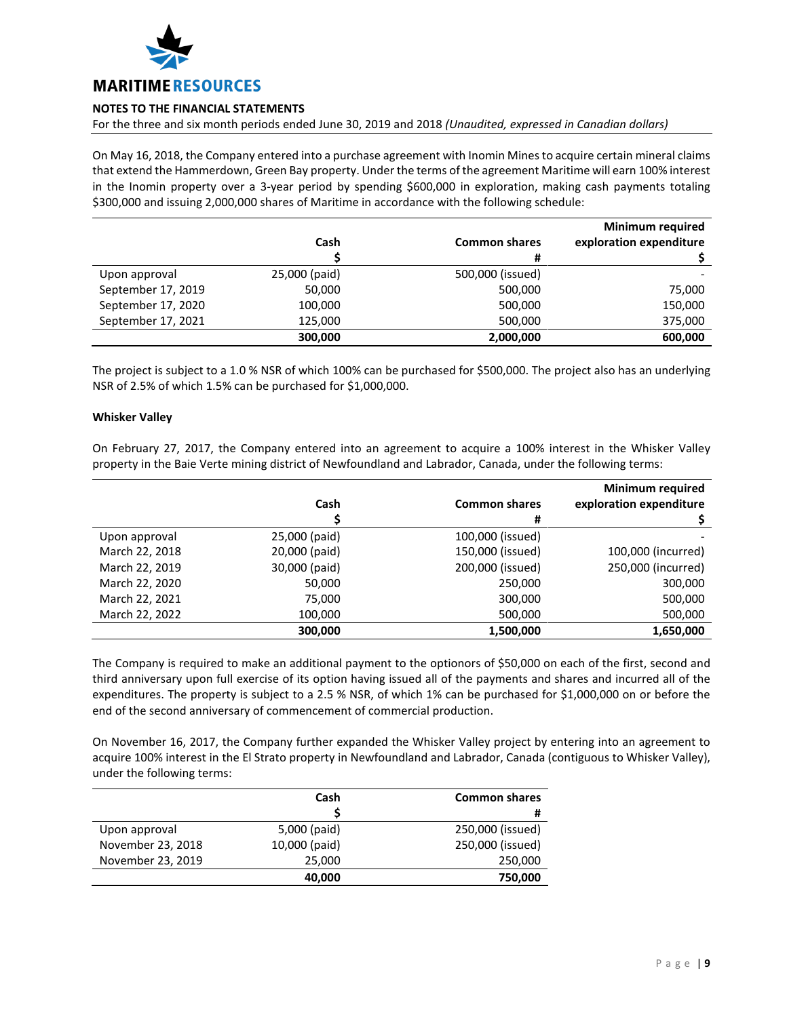

For the three and six month periods ended June 30, 2019 and 2018 *(Unaudited, expressed in Canadian dollars)*

On May 16, 2018, the Company entered into a purchase agreement with Inomin Mines to acquire certain mineral claims that extend the Hammerdown, Green Bay property. Under the terms of the agreement Maritime will earn 100% interest in the Inomin property over a 3-year period by spending \$600,000 in exploration, making cash payments totaling \$300,000 and issuing 2,000,000 shares of Maritime in accordance with the following schedule:

|                    |               |                      | <b>Minimum required</b> |
|--------------------|---------------|----------------------|-------------------------|
|                    | Cash          | <b>Common shares</b> | exploration expenditure |
|                    |               | #                    |                         |
| Upon approval      | 25,000 (paid) | 500,000 (issued)     |                         |
| September 17, 2019 | 50,000        | 500,000              | 75,000                  |
| September 17, 2020 | 100,000       | 500,000              | 150,000                 |
| September 17, 2021 | 125,000       | 500,000              | 375,000                 |
|                    | 300,000       | 2,000,000            | 600,000                 |

The project is subject to a 1.0 % NSR of which 100% can be purchased for \$500,000. The project also has an underlying NSR of 2.5% of which 1.5% can be purchased for \$1,000,000.

### **Whisker Valley**

On February 27, 2017, the Company entered into an agreement to acquire a 100% interest in the Whisker Valley property in the Baie Verte mining district of Newfoundland and Labrador, Canada, under the following terms:

|                |               |                      | <b>Minimum required</b> |
|----------------|---------------|----------------------|-------------------------|
|                | Cash          | <b>Common shares</b> | exploration expenditure |
|                |               | #                    |                         |
| Upon approval  | 25,000 (paid) | 100,000 (issued)     |                         |
| March 22, 2018 | 20,000 (paid) | 150,000 (issued)     | 100,000 (incurred)      |
| March 22, 2019 | 30,000 (paid) | 200,000 (issued)     | 250,000 (incurred)      |
| March 22, 2020 | 50,000        | 250,000              | 300,000                 |
| March 22, 2021 | 75,000        | 300,000              | 500,000                 |
| March 22, 2022 | 100,000       | 500,000              | 500,000                 |
|                | 300,000       | 1,500,000            | 1,650,000               |

The Company is required to make an additional payment to the optionors of \$50,000 on each of the first, second and third anniversary upon full exercise of its option having issued all of the payments and shares and incurred all of the expenditures. The property is subject to a 2.5 % NSR, of which 1% can be purchased for \$1,000,000 on or before the end of the second anniversary of commencement of commercial production.

On November 16, 2017, the Company further expanded the Whisker Valley project by entering into an agreement to acquire 100% interest in the El Strato property in Newfoundland and Labrador, Canada (contiguous to Whisker Valley), under the following terms:

|                   | Cash          | <b>Common shares</b> |
|-------------------|---------------|----------------------|
|                   |               | #                    |
| Upon approval     | 5,000 (paid)  | 250,000 (issued)     |
| November 23, 2018 | 10,000 (paid) | 250,000 (issued)     |
| November 23, 2019 | 25,000        | 250,000              |
|                   | 40,000        | 750,000              |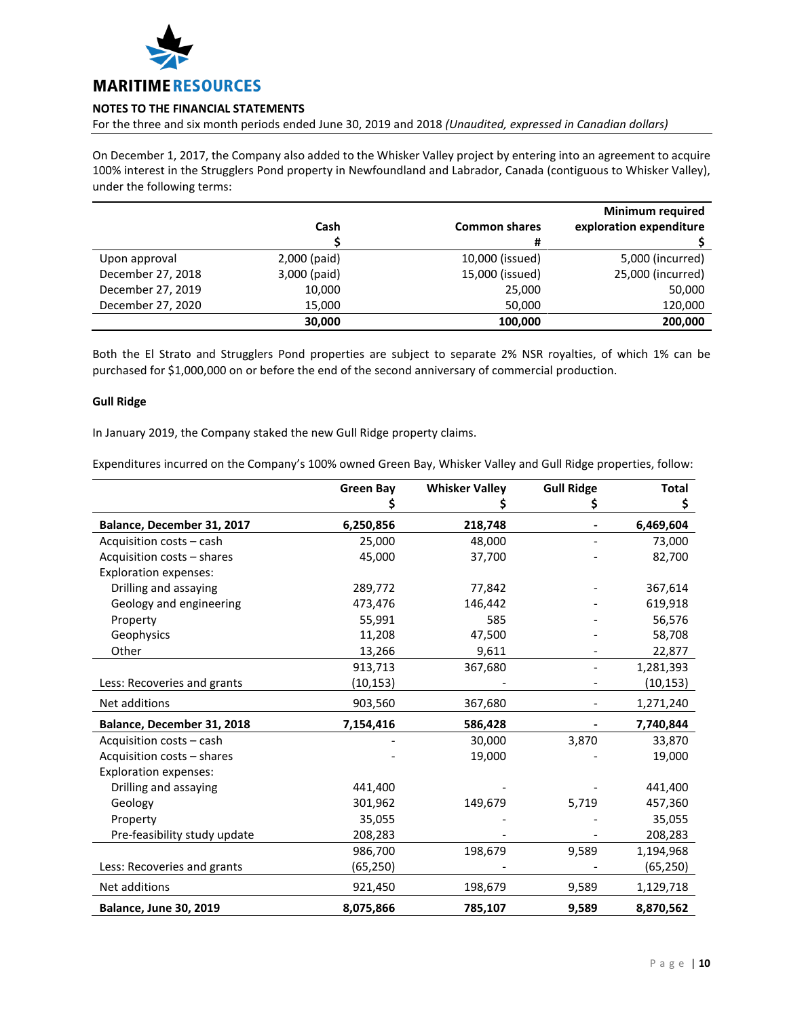

For the three and six month periods ended June 30, 2019 and 2018 *(Unaudited, expressed in Canadian dollars)*

On December 1, 2017, the Company also added to the Whisker Valley project by entering into an agreement to acquire 100% interest in the Strugglers Pond property in Newfoundland and Labrador, Canada (contiguous to Whisker Valley), under the following terms:

|                   |              |                      | <b>Minimum required</b> |
|-------------------|--------------|----------------------|-------------------------|
|                   | Cash         | <b>Common shares</b> | exploration expenditure |
|                   |              | #                    |                         |
| Upon approval     | 2,000 (paid) | 10,000 (issued)      | 5,000 (incurred)        |
| December 27, 2018 | 3,000 (paid) | 15,000 (issued)      | 25,000 (incurred)       |
| December 27, 2019 | 10,000       | 25,000               | 50,000                  |
| December 27, 2020 | 15,000       | 50,000               | 120,000                 |
|                   | 30,000       | 100,000              | 200,000                 |

Both the El Strato and Strugglers Pond properties are subject to separate 2% NSR royalties, of which 1% can be purchased for \$1,000,000 on or before the end of the second anniversary of commercial production.

## **Gull Ridge**

In January 2019, the Company staked the new Gull Ridge property claims.

Expenditures incurred on the Company's 100% owned Green Bay, Whisker Valley and Gull Ridge properties, follow:

|                               | <b>Green Bay</b> | <b>Whisker Valley</b> | <b>Gull Ridge</b> | <b>Total</b> |
|-------------------------------|------------------|-----------------------|-------------------|--------------|
|                               |                  |                       | \$                | \$           |
| Balance, December 31, 2017    | 6,250,856        | 218,748               |                   | 6,469,604    |
| Acquisition costs - cash      | 25,000           | 48,000                |                   | 73,000       |
| Acquisition costs - shares    | 45,000           | 37,700                |                   | 82,700       |
| <b>Exploration expenses:</b>  |                  |                       |                   |              |
| Drilling and assaying         | 289,772          | 77,842                |                   | 367,614      |
| Geology and engineering       | 473,476          | 146,442               |                   | 619,918      |
| Property                      | 55,991           | 585                   |                   | 56,576       |
| Geophysics                    | 11,208           | 47,500                |                   | 58,708       |
| Other                         | 13,266           | 9,611                 |                   | 22,877       |
|                               | 913,713          | 367,680               |                   | 1,281,393    |
| Less: Recoveries and grants   | (10, 153)        |                       |                   | (10, 153)    |
| Net additions                 | 903,560          | 367,680               |                   | 1,271,240    |
| Balance, December 31, 2018    | 7,154,416        | 586,428               |                   | 7,740,844    |
| Acquisition costs - cash      |                  | 30,000                | 3,870             | 33,870       |
| Acquisition costs - shares    |                  | 19,000                |                   | 19,000       |
| <b>Exploration expenses:</b>  |                  |                       |                   |              |
| Drilling and assaying         | 441,400          |                       |                   | 441,400      |
| Geology                       | 301,962          | 149,679               | 5,719             | 457,360      |
| Property                      | 35,055           |                       |                   | 35,055       |
| Pre-feasibility study update  | 208,283          |                       |                   | 208,283      |
|                               | 986,700          | 198,679               | 9,589             | 1,194,968    |
| Less: Recoveries and grants   | (65, 250)        |                       |                   | (65, 250)    |
| Net additions                 | 921,450          | 198,679               | 9,589             | 1,129,718    |
| <b>Balance, June 30, 2019</b> | 8,075,866        | 785,107               | 9,589             | 8,870,562    |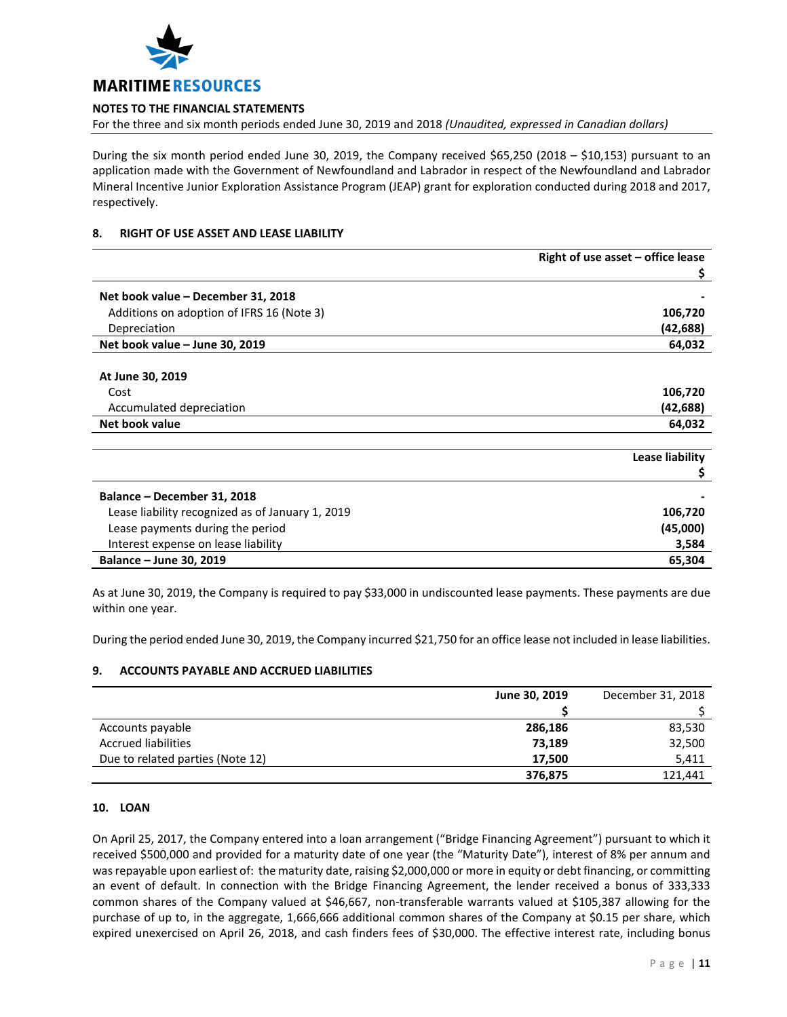

For the three and six month periods ended June 30, 2019 and 2018 *(Unaudited, expressed in Canadian dollars)*

During the six month period ended June 30, 2019, the Company received \$65,250 (2018 – \$10,153) pursuant to an application made with the Government of Newfoundland and Labrador in respect of the Newfoundland and Labrador Mineral Incentive Junior Exploration Assistance Program (JEAP) grant for exploration conducted during 2018 and 2017, respectively.

# **8. RIGHT OF USE ASSET AND LEASE LIABILITY**

|                                                  | Right of use asset $-$ office lease |
|--------------------------------------------------|-------------------------------------|
|                                                  | Ş                                   |
| Net book value - December 31, 2018               |                                     |
| Additions on adoption of IFRS 16 (Note 3)        | 106,720                             |
| Depreciation                                     | (42, 688)                           |
| Net book value - June 30, 2019                   | 64,032                              |
| At June 30, 2019                                 |                                     |
| Cost                                             | 106,720                             |
| Accumulated depreciation                         | (42, 688)                           |
| Net book value                                   | 64,032                              |
|                                                  | Lease liability                     |
|                                                  |                                     |
| Balance - December 31, 2018                      |                                     |
| Lease liability recognized as of January 1, 2019 | 106,720                             |
| Lease payments during the period                 | (45,000)                            |
| Interest expense on lease liability              | 3,584                               |
| Balance - June 30, 2019                          | 65,304                              |

As at June 30, 2019, the Company is required to pay \$33,000 in undiscounted lease payments. These payments are due within one year.

During the period ended June 30, 2019, the Company incurred \$21,750 for an office lease not included in lease liabilities.

# **9. ACCOUNTS PAYABLE AND ACCRUED LIABILITIES**

|                                  | June 30, 2019 | December 31, 2018 |
|----------------------------------|---------------|-------------------|
|                                  |               |                   |
| Accounts payable                 | 286,186       | 83,530            |
| <b>Accrued liabilities</b>       | 73,189        | 32,500            |
| Due to related parties (Note 12) | 17.500        | 5,411             |
|                                  | 376,875       | 121,441           |

### **10. LOAN**

On April 25, 2017, the Company entered into a loan arrangement ("Bridge Financing Agreement") pursuant to which it received \$500,000 and provided for a maturity date of one year (the "Maturity Date"), interest of 8% per annum and was repayable upon earliest of: the maturity date, raising \$2,000,000 or more in equity or debt financing, or committing an event of default. In connection with the Bridge Financing Agreement, the lender received a bonus of 333,333 common shares of the Company valued at \$46,667, non-transferable warrants valued at \$105,387 allowing for the purchase of up to, in the aggregate, 1,666,666 additional common shares of the Company at \$0.15 per share, which expired unexercised on April 26, 2018, and cash finders fees of \$30,000. The effective interest rate, including bonus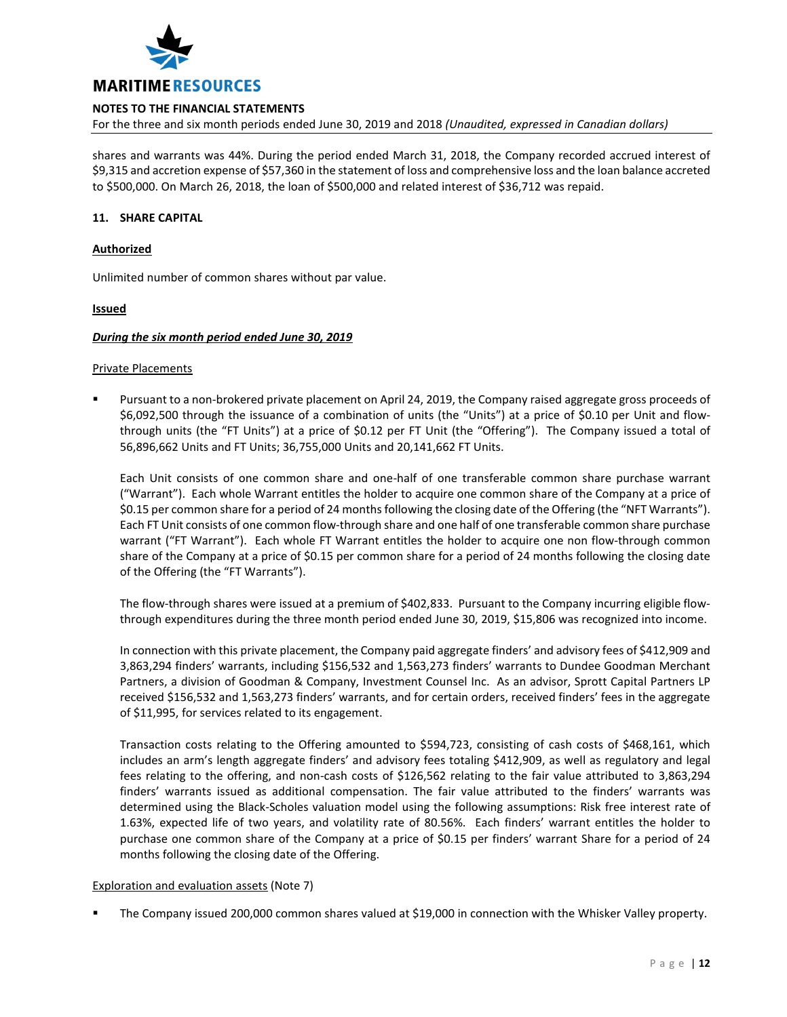

For the three and six month periods ended June 30, 2019 and 2018 *(Unaudited, expressed in Canadian dollars)*

shares and warrants was 44%. During the period ended March 31, 2018, the Company recorded accrued interest of \$9,315 and accretion expense of \$57,360 in the statement of loss and comprehensive loss and the loan balance accreted to \$500,000. On March 26, 2018, the loan of \$500,000 and related interest of \$36,712 was repaid.

## **11. SHARE CAPITAL**

### **Authorized**

Unlimited number of common shares without par value.

### **Issued**

#### *During the six month period ended June 30, 2019*

#### Private Placements

 Pursuant to a non-brokered private placement on April 24, 2019, the Company raised aggregate gross proceeds of \$6,092,500 through the issuance of a combination of units (the "Units") at a price of \$0.10 per Unit and flowthrough units (the "FT Units") at a price of \$0.12 per FT Unit (the "Offering"). The Company issued a total of 56,896,662 Units and FT Units; 36,755,000 Units and 20,141,662 FT Units.

Each Unit consists of one common share and one-half of one transferable common share purchase warrant ("Warrant"). Each whole Warrant entitles the holder to acquire one common share of the Company at a price of \$0.15 per common share for a period of 24 months following the closing date of the Offering (the "NFT Warrants"). Each FT Unit consists of one common flow-through share and one half of one transferable common share purchase warrant ("FT Warrant"). Each whole FT Warrant entitles the holder to acquire one non flow-through common share of the Company at a price of \$0.15 per common share for a period of 24 months following the closing date of the Offering (the "FT Warrants").

The flow-through shares were issued at a premium of \$402,833. Pursuant to the Company incurring eligible flowthrough expenditures during the three month period ended June 30, 2019, \$15,806 was recognized into income.

In connection with this private placement, the Company paid aggregate finders' and advisory fees of \$412,909 and 3,863,294 finders' warrants, including \$156,532 and 1,563,273 finders' warrants to Dundee Goodman Merchant Partners, a division of Goodman & Company, Investment Counsel Inc. As an advisor, Sprott Capital Partners LP received \$156,532 and 1,563,273 finders' warrants, and for certain orders, received finders' fees in the aggregate of \$11,995, for services related to its engagement.

Transaction costs relating to the Offering amounted to \$594,723, consisting of cash costs of \$468,161, which includes an arm's length aggregate finders' and advisory fees totaling \$412,909, as well as regulatory and legal fees relating to the offering, and non-cash costs of \$126,562 relating to the fair value attributed to 3,863,294 finders' warrants issued as additional compensation. The fair value attributed to the finders' warrants was determined using the Black-Scholes valuation model using the following assumptions: Risk free interest rate of 1.63%, expected life of two years, and volatility rate of 80.56%. Each finders' warrant entitles the holder to purchase one common share of the Company at a price of \$0.15 per finders' warrant Share for a period of 24 months following the closing date of the Offering.

### Exploration and evaluation assets (Note 7)

The Company issued 200,000 common shares valued at \$19,000 in connection with the Whisker Valley property.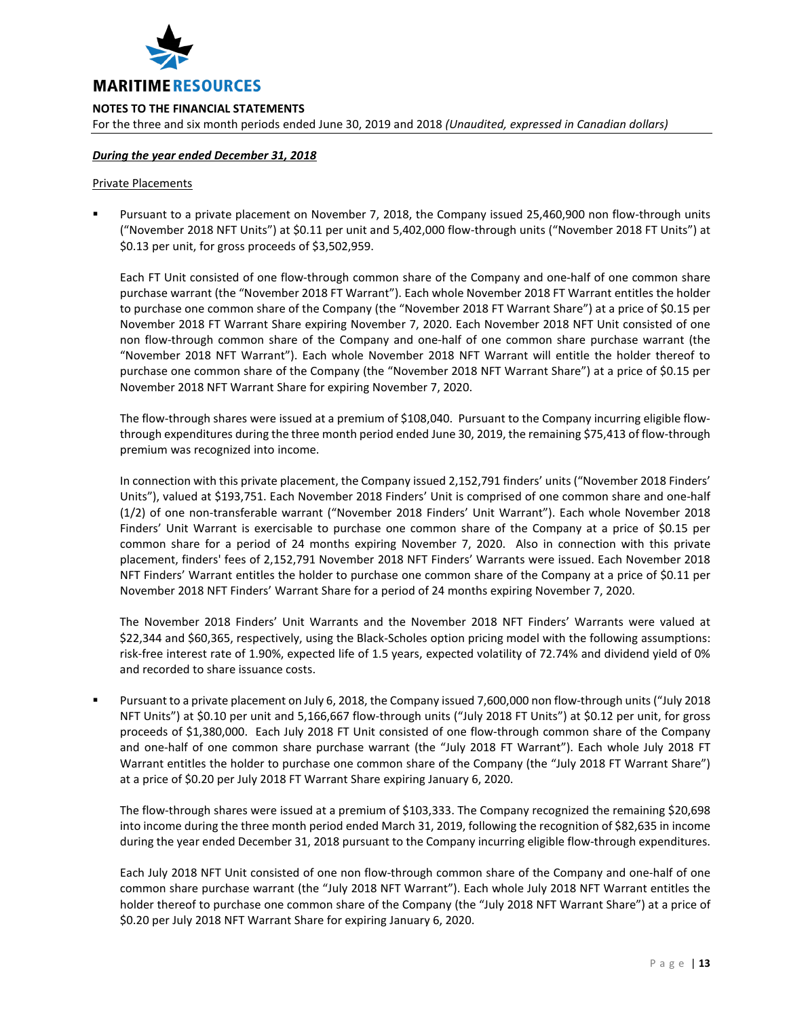

For the three and six month periods ended June 30, 2019 and 2018 *(Unaudited, expressed in Canadian dollars)*

### *During the year ended December 31, 2018*

#### Private Placements

 Pursuant to a private placement on November 7, 2018, the Company issued 25,460,900 non flow-through units ("November 2018 NFT Units") at \$0.11 per unit and 5,402,000 flow-through units ("November 2018 FT Units") at \$0.13 per unit, for gross proceeds of \$3,502,959.

Each FT Unit consisted of one flow-through common share of the Company and one-half of one common share purchase warrant (the "November 2018 FT Warrant"). Each whole November 2018 FT Warrant entitles the holder to purchase one common share of the Company (the "November 2018 FT Warrant Share") at a price of \$0.15 per November 2018 FT Warrant Share expiring November 7, 2020. Each November 2018 NFT Unit consisted of one non flow-through common share of the Company and one-half of one common share purchase warrant (the "November 2018 NFT Warrant"). Each whole November 2018 NFT Warrant will entitle the holder thereof to purchase one common share of the Company (the "November 2018 NFT Warrant Share") at a price of \$0.15 per November 2018 NFT Warrant Share for expiring November 7, 2020.

The flow-through shares were issued at a premium of \$108,040. Pursuant to the Company incurring eligible flowthrough expenditures during the three month period ended June 30, 2019, the remaining \$75,413 of flow-through premium was recognized into income.

In connection with this private placement, the Company issued 2,152,791 finders' units ("November 2018 Finders' Units"), valued at \$193,751. Each November 2018 Finders' Unit is comprised of one common share and one-half (1/2) of one non-transferable warrant ("November 2018 Finders' Unit Warrant"). Each whole November 2018 Finders' Unit Warrant is exercisable to purchase one common share of the Company at a price of \$0.15 per common share for a period of 24 months expiring November 7, 2020. Also in connection with this private placement, finders' fees of 2,152,791 November 2018 NFT Finders' Warrants were issued. Each November 2018 NFT Finders' Warrant entitles the holder to purchase one common share of the Company at a price of \$0.11 per November 2018 NFT Finders' Warrant Share for a period of 24 months expiring November 7, 2020.

The November 2018 Finders' Unit Warrants and the November 2018 NFT Finders' Warrants were valued at \$22,344 and \$60,365, respectively, using the Black-Scholes option pricing model with the following assumptions: risk-free interest rate of 1.90%, expected life of 1.5 years, expected volatility of 72.74% and dividend yield of 0% and recorded to share issuance costs.

 Pursuant to a private placement on July 6, 2018, the Company issued 7,600,000 non flow-through units ("July 2018 NFT Units") at \$0.10 per unit and 5,166,667 flow-through units ("July 2018 FT Units") at \$0.12 per unit, for gross proceeds of \$1,380,000. Each July 2018 FT Unit consisted of one flow-through common share of the Company and one-half of one common share purchase warrant (the "July 2018 FT Warrant"). Each whole July 2018 FT Warrant entitles the holder to purchase one common share of the Company (the "July 2018 FT Warrant Share") at a price of \$0.20 per July 2018 FT Warrant Share expiring January 6, 2020.

The flow-through shares were issued at a premium of \$103,333. The Company recognized the remaining \$20,698 into income during the three month period ended March 31, 2019, following the recognition of \$82,635 in income during the year ended December 31, 2018 pursuant to the Company incurring eligible flow-through expenditures.

Each July 2018 NFT Unit consisted of one non flow-through common share of the Company and one-half of one common share purchase warrant (the "July 2018 NFT Warrant"). Each whole July 2018 NFT Warrant entitles the holder thereof to purchase one common share of the Company (the "July 2018 NFT Warrant Share") at a price of \$0.20 per July 2018 NFT Warrant Share for expiring January 6, 2020.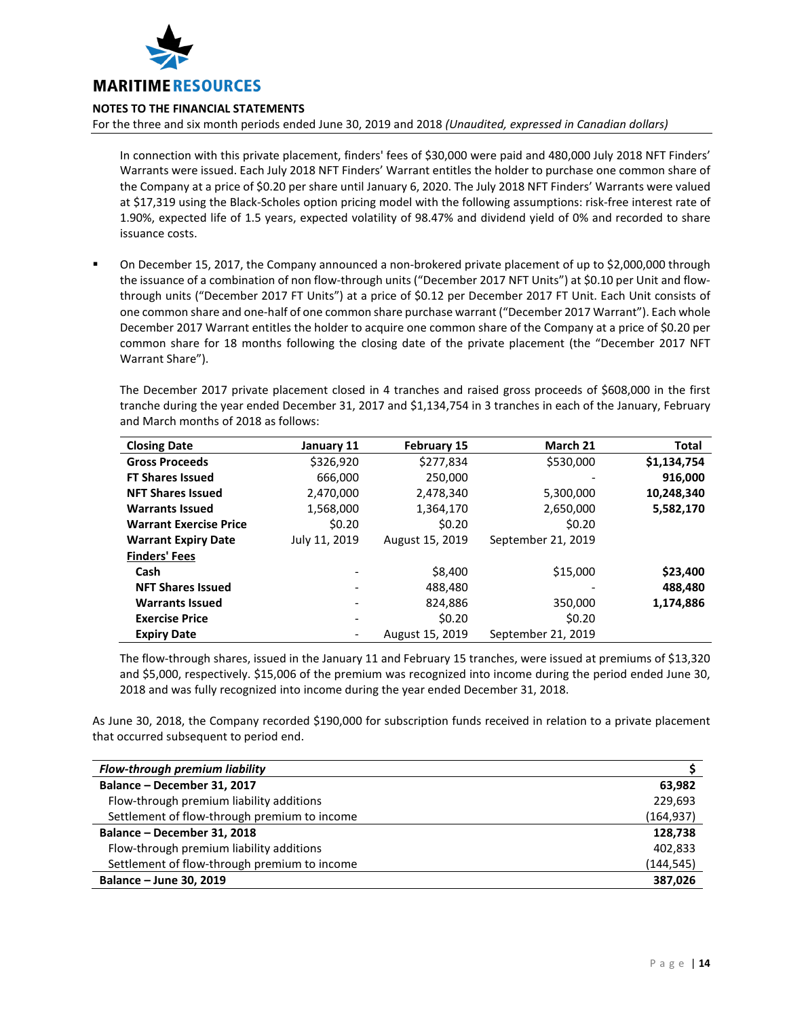

For the three and six month periods ended June 30, 2019 and 2018 *(Unaudited, expressed in Canadian dollars)*

In connection with this private placement, finders' fees of \$30,000 were paid and 480,000 July 2018 NFT Finders' Warrants were issued. Each July 2018 NFT Finders' Warrant entitles the holder to purchase one common share of the Company at a price of \$0.20 per share until January 6, 2020. The July 2018 NFT Finders' Warrants were valued at \$17,319 using the Black-Scholes option pricing model with the following assumptions: risk-free interest rate of 1.90%, expected life of 1.5 years, expected volatility of 98.47% and dividend yield of 0% and recorded to share issuance costs.

 On December 15, 2017, the Company announced a non-brokered private placement of up to \$2,000,000 through the issuance of a combination of non flow-through units ("December 2017 NFT Units") at \$0.10 per Unit and flowthrough units ("December 2017 FT Units") at a price of \$0.12 per December 2017 FT Unit. Each Unit consists of one common share and one-half of one common share purchase warrant ("December 2017 Warrant"). Each whole December 2017 Warrant entitles the holder to acquire one common share of the Company at a price of \$0.20 per common share for 18 months following the closing date of the private placement (the "December 2017 NFT Warrant Share").

The December 2017 private placement closed in 4 tranches and raised gross proceeds of \$608,000 in the first tranche during the year ended December 31, 2017 and \$1,134,754 in 3 tranches in each of the January, February and March months of 2018 as follows:

| <b>Closing Date</b>           | January 11    | <b>February 15</b> | March 21           | Total       |
|-------------------------------|---------------|--------------------|--------------------|-------------|
| <b>Gross Proceeds</b>         | \$326,920     | \$277,834          | \$530,000          | \$1,134,754 |
| <b>FT Shares Issued</b>       | 666,000       | 250,000            |                    | 916,000     |
| <b>NFT Shares Issued</b>      | 2,470,000     | 2,478,340          | 5,300,000          | 10,248,340  |
| <b>Warrants Issued</b>        | 1,568,000     | 1,364,170          | 2,650,000          | 5,582,170   |
| <b>Warrant Exercise Price</b> | \$0.20        | \$0.20             | \$0.20             |             |
| <b>Warrant Expiry Date</b>    | July 11, 2019 | August 15, 2019    | September 21, 2019 |             |
| <b>Finders' Fees</b>          |               |                    |                    |             |
| Cash                          |               | \$8,400            | \$15,000           | \$23,400    |
| <b>NFT Shares Issued</b>      | -             | 488.480            |                    | 488,480     |
| <b>Warrants Issued</b>        | -             | 824.886            | 350,000            | 1,174,886   |
| <b>Exercise Price</b>         | -             | \$0.20             | \$0.20             |             |
| <b>Expiry Date</b>            | ٠             | August 15, 2019    | September 21, 2019 |             |

The flow-through shares, issued in the January 11 and February 15 tranches, were issued at premiums of \$13,320 and \$5,000, respectively. \$15,006 of the premium was recognized into income during the period ended June 30, 2018 and was fully recognized into income during the year ended December 31, 2018.

As June 30, 2018, the Company recorded \$190,000 for subscription funds received in relation to a private placement that occurred subsequent to period end.

| <b>Flow-through premium liability</b>        |            |
|----------------------------------------------|------------|
| Balance - December 31, 2017                  | 63,982     |
| Flow-through premium liability additions     | 229,693    |
| Settlement of flow-through premium to income | (164, 937) |
| Balance - December 31, 2018                  | 128,738    |
| Flow-through premium liability additions     | 402.833    |
| Settlement of flow-through premium to income | (144, 545) |
| Balance - June 30, 2019                      | 387,026    |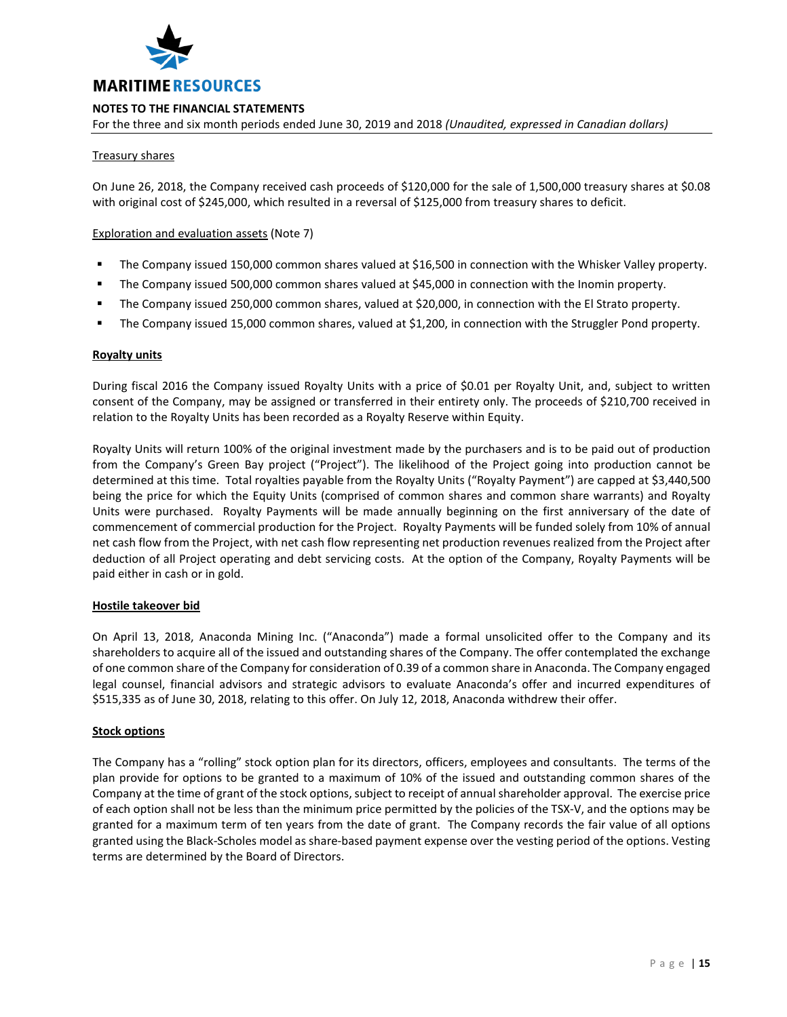

For the three and six month periods ended June 30, 2019 and 2018 *(Unaudited, expressed in Canadian dollars)*

# Treasury shares

On June 26, 2018, the Company received cash proceeds of \$120,000 for the sale of 1,500,000 treasury shares at \$0.08 with original cost of \$245,000, which resulted in a reversal of \$125,000 from treasury shares to deficit.

# Exploration and evaluation assets (Note 7)

- The Company issued 150,000 common shares valued at \$16,500 in connection with the Whisker Valley property.
- The Company issued 500,000 common shares valued at \$45,000 in connection with the Inomin property.
- The Company issued 250,000 common shares, valued at \$20,000, in connection with the El Strato property.
- The Company issued 15,000 common shares, valued at \$1,200, in connection with the Struggler Pond property.

### **Royalty units**

During fiscal 2016 the Company issued Royalty Units with a price of \$0.01 per Royalty Unit, and, subject to written consent of the Company, may be assigned or transferred in their entirety only. The proceeds of \$210,700 received in relation to the Royalty Units has been recorded as a Royalty Reserve within Equity.

Royalty Units will return 100% of the original investment made by the purchasers and is to be paid out of production from the Company's Green Bay project ("Project"). The likelihood of the Project going into production cannot be determined at this time. Total royalties payable from the Royalty Units ("Royalty Payment") are capped at \$3,440,500 being the price for which the Equity Units (comprised of common shares and common share warrants) and Royalty Units were purchased. Royalty Payments will be made annually beginning on the first anniversary of the date of commencement of commercial production for the Project. Royalty Payments will be funded solely from 10% of annual net cash flow from the Project, with net cash flow representing net production revenues realized from the Project after deduction of all Project operating and debt servicing costs. At the option of the Company, Royalty Payments will be paid either in cash or in gold.

### **Hostile takeover bid**

On April 13, 2018, Anaconda Mining Inc. ("Anaconda") made a formal unsolicited offer to the Company and its shareholders to acquire all of the issued and outstanding shares of the Company. The offer contemplated the exchange of one common share of the Company for consideration of 0.39 of a common share in Anaconda. The Company engaged legal counsel, financial advisors and strategic advisors to evaluate Anaconda's offer and incurred expenditures of \$515,335 as of June 30, 2018, relating to this offer. On July 12, 2018, Anaconda withdrew their offer.

# **Stock options**

The Company has a "rolling" stock option plan for its directors, officers, employees and consultants. The terms of the plan provide for options to be granted to a maximum of 10% of the issued and outstanding common shares of the Company at the time of grant of the stock options, subject to receipt of annual shareholder approval. The exercise price of each option shall not be less than the minimum price permitted by the policies of the TSX-V, and the options may be granted for a maximum term of ten years from the date of grant. The Company records the fair value of all options granted using the Black-Scholes model as share-based payment expense over the vesting period of the options. Vesting terms are determined by the Board of Directors.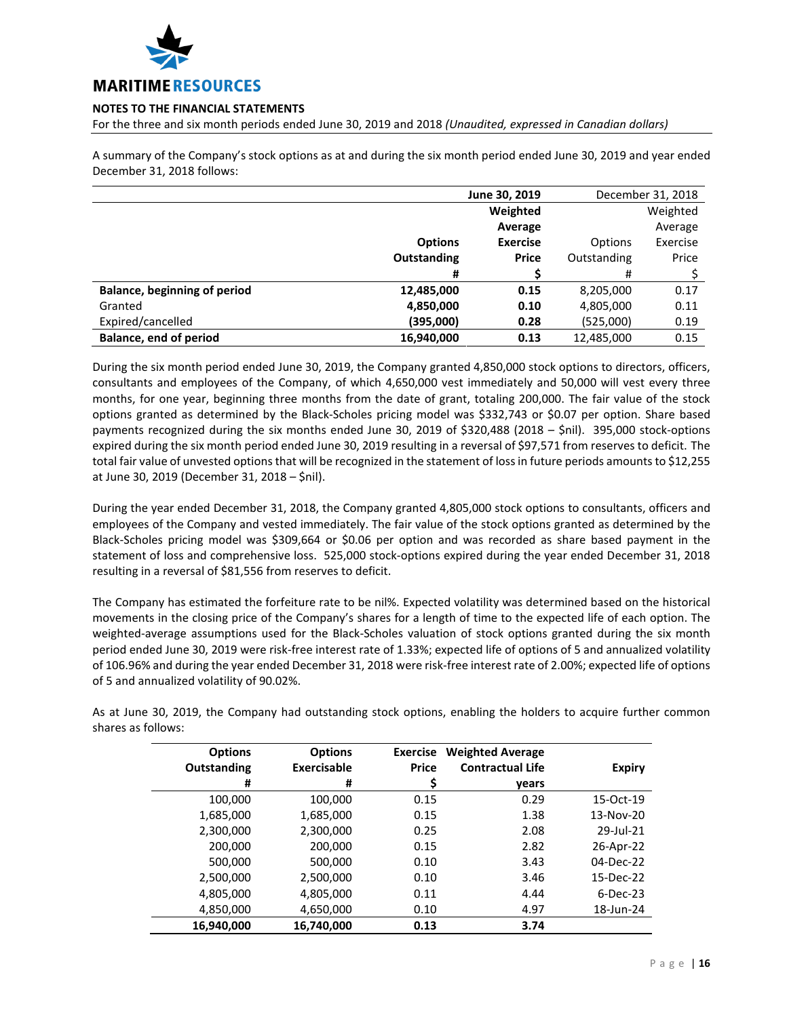

For the three and six month periods ended June 30, 2019 and 2018 *(Unaudited, expressed in Canadian dollars)*

A summary of the Company's stock options as at and during the six month period ended June 30, 2019 and year ended December 31, 2018 follows:

|                                     | June 30, 2019      |                 | December 31, 2018 |          |
|-------------------------------------|--------------------|-----------------|-------------------|----------|
|                                     |                    | Weighted        |                   | Weighted |
|                                     |                    | Average         |                   | Average  |
|                                     | <b>Options</b>     | <b>Exercise</b> | Options           | Exercise |
|                                     | <b>Outstanding</b> | <b>Price</b>    | Outstanding       | Price    |
|                                     | #                  |                 | #                 |          |
| <b>Balance, beginning of period</b> | 12,485,000         | 0.15            | 8,205,000         | 0.17     |
| Granted                             | 4,850,000          | 0.10            | 4,805,000         | 0.11     |
| Expired/cancelled                   | (395,000)          | 0.28            | (525,000)         | 0.19     |
| <b>Balance, end of period</b>       | 16,940,000         | 0.13            | 12,485,000        | 0.15     |

During the six month period ended June 30, 2019, the Company granted 4,850,000 stock options to directors, officers, consultants and employees of the Company, of which 4,650,000 vest immediately and 50,000 will vest every three months, for one year, beginning three months from the date of grant, totaling 200,000. The fair value of the stock options granted as determined by the Black-Scholes pricing model was \$332,743 or \$0.07 per option. Share based payments recognized during the six months ended June 30, 2019 of \$320,488 (2018 – \$nil). 395,000 stock-options expired during the six month period ended June 30, 2019 resulting in a reversal of \$97,571 from reserves to deficit. The total fair value of unvested options that will be recognized in the statement of loss in future periods amounts to \$12,255 at June 30, 2019 (December 31, 2018 – \$nil).

During the year ended December 31, 2018, the Company granted 4,805,000 stock options to consultants, officers and employees of the Company and vested immediately. The fair value of the stock options granted as determined by the Black-Scholes pricing model was \$309,664 or \$0.06 per option and was recorded as share based payment in the statement of loss and comprehensive loss. 525,000 stock-options expired during the year ended December 31, 2018 resulting in a reversal of \$81,556 from reserves to deficit.

The Company has estimated the forfeiture rate to be nil%. Expected volatility was determined based on the historical movements in the closing price of the Company's shares for a length of time to the expected life of each option. The weighted-average assumptions used for the Black-Scholes valuation of stock options granted during the six month period ended June 30, 2019 were risk-free interest rate of 1.33%; expected life of options of 5 and annualized volatility of 106.96% and during the year ended December 31, 2018 were risk-free interest rate of 2.00%; expected life of options of 5 and annualized volatility of 90.02%.

As at June 30, 2019, the Company had outstanding stock options, enabling the holders to acquire further common shares as follows:

| <b>Options</b>     | <b>Options</b>     | <b>Exercise</b> | <b>Weighted Average</b> |               |
|--------------------|--------------------|-----------------|-------------------------|---------------|
| <b>Outstanding</b> | <b>Exercisable</b> | Price           | <b>Contractual Life</b> | <b>Expiry</b> |
| #                  | #                  | \$              | years                   |               |
| 100,000            | 100,000            | 0.15            | 0.29                    | 15-Oct-19     |
| 1,685,000          | 1,685,000          | 0.15            | 1.38                    | 13-Nov-20     |
| 2,300,000          | 2,300,000          | 0.25            | 2.08                    | 29-Jul-21     |
| 200,000            | 200,000            | 0.15            | 2.82                    | 26-Apr-22     |
| 500,000            | 500,000            | 0.10            | 3.43                    | 04-Dec-22     |
| 2,500,000          | 2,500,000          | 0.10            | 3.46                    | 15-Dec-22     |
| 4,805,000          | 4,805,000          | 0.11            | 4.44                    | $6$ -Dec-23   |
| 4,850,000          | 4,650,000          | 0.10            | 4.97                    | 18-Jun-24     |
| 16,940,000         | 16,740,000         | 0.13            | 3.74                    |               |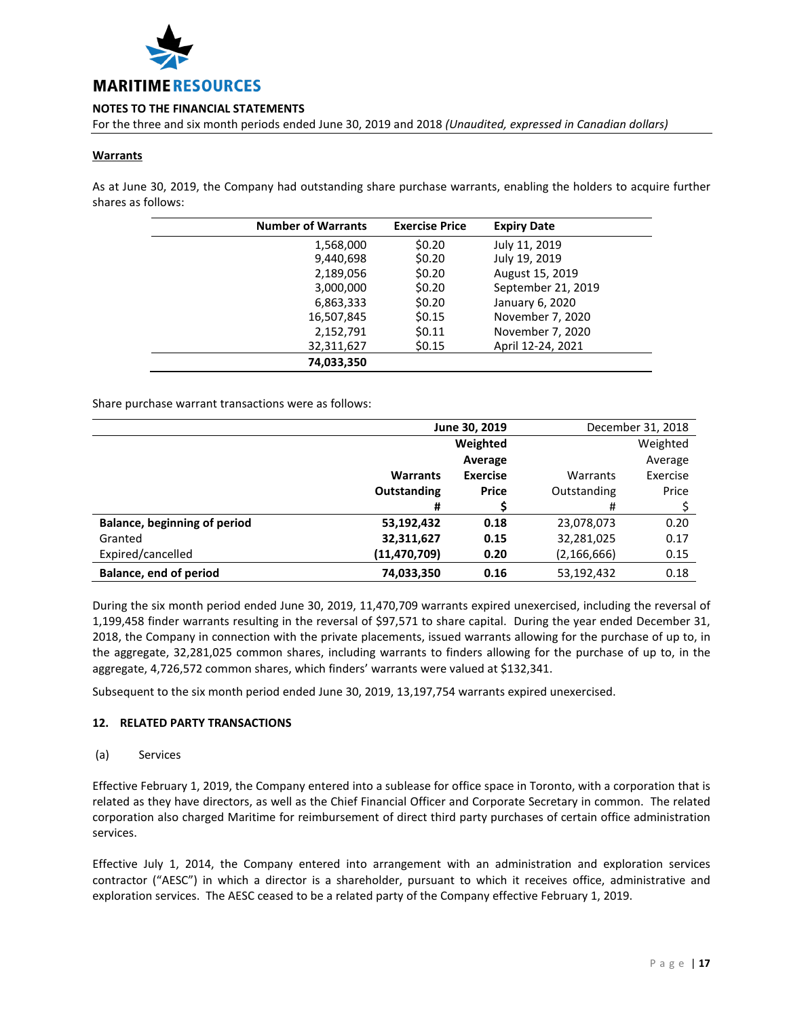

For the three and six month periods ended June 30, 2019 and 2018 *(Unaudited, expressed in Canadian dollars)*

# **Warrants**

As at June 30, 2019, the Company had outstanding share purchase warrants, enabling the holders to acquire further shares as follows:

| <b>Number of Warrants</b> | <b>Exercise Price</b> | <b>Expiry Date</b> |
|---------------------------|-----------------------|--------------------|
| 1,568,000                 | \$0.20                | July 11, 2019      |
| 9,440,698                 | \$0.20                | July 19, 2019      |
| 2,189,056                 | \$0.20                | August 15, 2019    |
| 3,000,000                 | \$0.20                | September 21, 2019 |
| 6,863,333                 | \$0.20                | January 6, 2020    |
| 16,507,845                | \$0.15                | November 7, 2020   |
| 2,152,791                 | \$0.11                | November 7, 2020   |
| 32,311,627                | \$0.15                | April 12-24, 2021  |
| 74,033,350                |                       |                    |

### Share purchase warrant transactions were as follows:

|                                     | June 30, 2019   |                 |               | December 31, 2018 |  |
|-------------------------------------|-----------------|-----------------|---------------|-------------------|--|
|                                     |                 | Weighted        |               | Weighted          |  |
|                                     |                 | Average         |               | Average           |  |
|                                     | <b>Warrants</b> | <b>Exercise</b> | Warrants      | Exercise          |  |
|                                     | Outstanding     | <b>Price</b>    | Outstanding   | Price             |  |
|                                     | #               |                 | #             |                   |  |
| <b>Balance, beginning of period</b> | 53,192,432      | 0.18            | 23,078,073    | 0.20              |  |
| Granted                             | 32,311,627      | 0.15            | 32,281,025    | 0.17              |  |
| Expired/cancelled                   | (11, 470, 709)  | 0.20            | (2, 166, 666) | 0.15              |  |
| <b>Balance, end of period</b>       | 74,033,350      | 0.16            | 53,192,432    | 0.18              |  |

During the six month period ended June 30, 2019, 11,470,709 warrants expired unexercised, including the reversal of 1,199,458 finder warrants resulting in the reversal of \$97,571 to share capital. During the year ended December 31, 2018, the Company in connection with the private placements, issued warrants allowing for the purchase of up to, in the aggregate, 32,281,025 common shares, including warrants to finders allowing for the purchase of up to, in the aggregate, 4,726,572 common shares, which finders' warrants were valued at \$132,341.

Subsequent to the six month period ended June 30, 2019, 13,197,754 warrants expired unexercised.

### **12. RELATED PARTY TRANSACTIONS**

### (a) Services

Effective February 1, 2019, the Company entered into a sublease for office space in Toronto, with a corporation that is related as they have directors, as well as the Chief Financial Officer and Corporate Secretary in common. The related corporation also charged Maritime for reimbursement of direct third party purchases of certain office administration services.

Effective July 1, 2014, the Company entered into arrangement with an administration and exploration services contractor ("AESC") in which a director is a shareholder, pursuant to which it receives office, administrative and exploration services. The AESC ceased to be a related party of the Company effective February 1, 2019.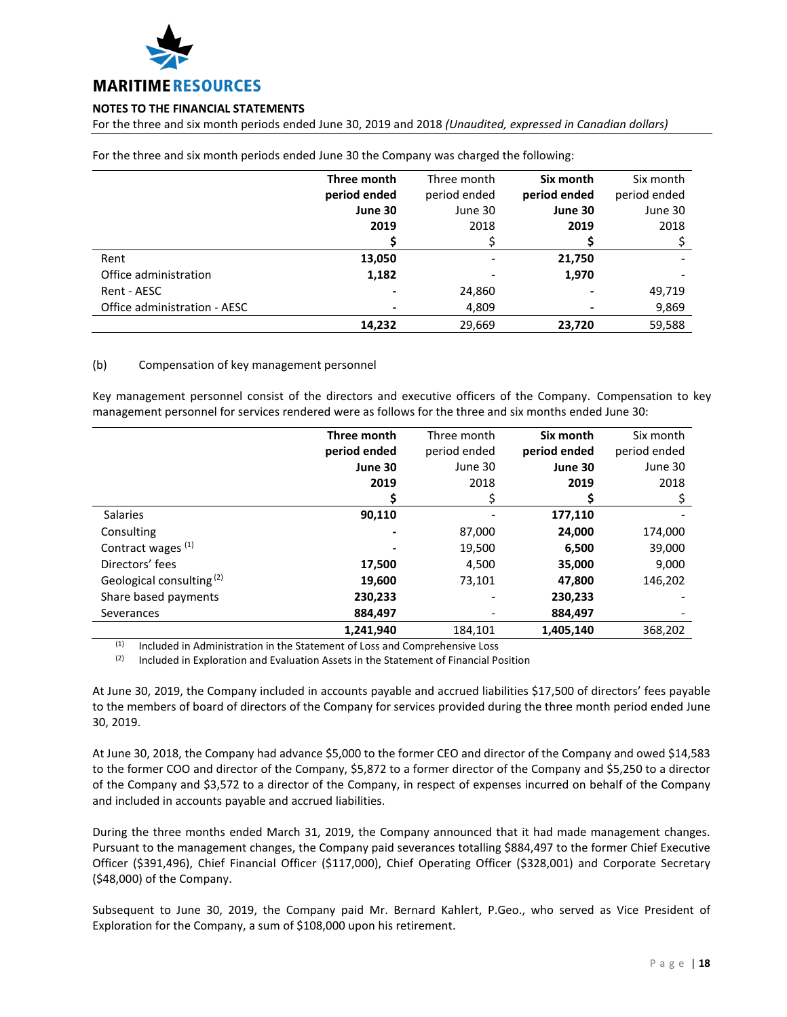

For the three and six month periods ended June 30, 2019 and 2018 *(Unaudited, expressed in Canadian dollars)*

|                              | Three month  | Three month  | Six month    | Six month    |
|------------------------------|--------------|--------------|--------------|--------------|
|                              | period ended | period ended | period ended | period ended |
|                              | June 30      | June 30      | June 30      | June 30      |
|                              | 2019         | 2018         | 2019         | 2018         |
|                              |              |              |              |              |
| Rent                         | 13,050       |              | 21,750       |              |
| Office administration        | 1,182        |              | 1,970        |              |
| Rent - AESC                  |              | 24,860       |              | 49,719       |
| Office administration - AESC |              | 4,809        |              | 9,869        |
|                              | 14,232       | 29,669       | 23,720       | 59,588       |

For the three and six month periods ended June 30 the Company was charged the following:

# (b) Compensation of key management personnel

Key management personnel consist of the directors and executive officers of the Company. Compensation to key management personnel for services rendered were as follows for the three and six months ended June 30:

|                                      | Three month  | Three month  | Six month    | Six month    |
|--------------------------------------|--------------|--------------|--------------|--------------|
|                                      | period ended | period ended | period ended | period ended |
|                                      | June 30      | June 30      | June 30      | June 30      |
|                                      | 2019         | 2018         | 2019         | 2018         |
|                                      |              |              |              |              |
| <b>Salaries</b>                      | 90,110       |              | 177,110      |              |
| Consulting                           |              | 87,000       | 24,000       | 174,000      |
| Contract wages (1)                   |              | 19,500       | 6,500        | 39,000       |
| Directors' fees                      | 17,500       | 4,500        | 35,000       | 9,000        |
| Geological consulting <sup>(2)</sup> | 19,600       | 73,101       | 47,800       | 146,202      |
| Share based payments                 | 230,233      |              | 230,233      |              |
| Severances                           | 884,497      |              | 884,497      |              |
|                                      | 1,241,940    | 184,101      | 1,405,140    | 368,202      |

 $(1)$  Included in Administration in the Statement of Loss and Comprehensive Loss

 $(2)$  Included in Exploration and Evaluation Assets in the Statement of Financial Position

At June 30, 2019, the Company included in accounts payable and accrued liabilities \$17,500 of directors' fees payable to the members of board of directors of the Company for services provided during the three month period ended June 30, 2019.

At June 30, 2018, the Company had advance \$5,000 to the former CEO and director of the Company and owed \$14,583 to the former COO and director of the Company, \$5,872 to a former director of the Company and \$5,250 to a director of the Company and \$3,572 to a director of the Company, in respect of expenses incurred on behalf of the Company and included in accounts payable and accrued liabilities.

During the three months ended March 31, 2019, the Company announced that it had made management changes. Pursuant to the management changes, the Company paid severances totalling \$884,497 to the former Chief Executive Officer (\$391,496), Chief Financial Officer (\$117,000), Chief Operating Officer (\$328,001) and Corporate Secretary (\$48,000) of the Company.

Subsequent to June 30, 2019, the Company paid Mr. Bernard Kahlert, P.Geo., who served as Vice President of Exploration for the Company, a sum of \$108,000 upon his retirement.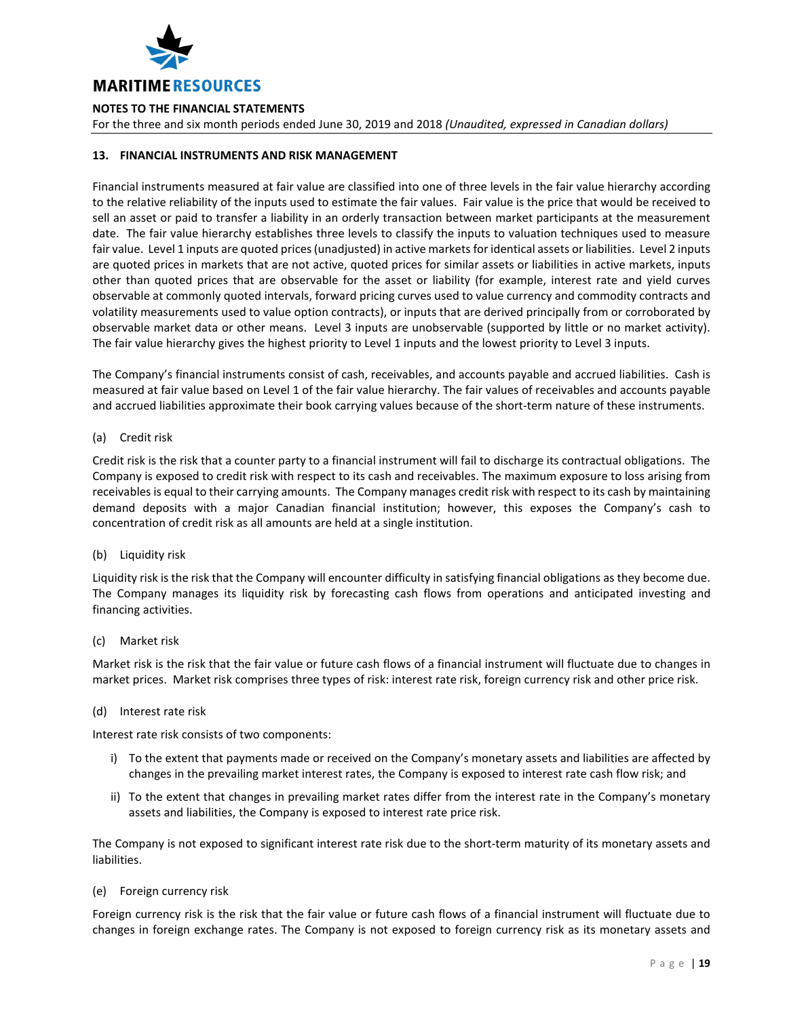

For the three and six month periods ended June 30, 2019 and 2018 *(Unaudited, expressed in Canadian dollars)*

# **13. FINANCIAL INSTRUMENTS AND RISK MANAGEMENT**

Financial instruments measured at fair value are classified into one of three levels in the fair value hierarchy according to the relative reliability of the inputs used to estimate the fair values. Fair value is the price that would be received to sell an asset or paid to transfer a liability in an orderly transaction between market participants at the measurement date. The fair value hierarchy establishes three levels to classify the inputs to valuation techniques used to measure fair value. Level 1 inputs are quoted prices (unadjusted) in active markets for identical assets or liabilities. Level 2 inputs are quoted prices in markets that are not active, quoted prices for similar assets or liabilities in active markets, inputs other than quoted prices that are observable for the asset or liability (for example, interest rate and yield curves observable at commonly quoted intervals, forward pricing curves used to value currency and commodity contracts and volatility measurements used to value option contracts), or inputs that are derived principally from or corroborated by observable market data or other means. Level 3 inputs are unobservable (supported by little or no market activity). The fair value hierarchy gives the highest priority to Level 1 inputs and the lowest priority to Level 3 inputs.

The Company's financial instruments consist of cash, receivables, and accounts payable and accrued liabilities. Cash is measured at fair value based on Level 1 of the fair value hierarchy. The fair values of receivables and accounts payable and accrued liabilities approximate their book carrying values because of the short-term nature of these instruments.

(a) Credit risk

Credit risk is the risk that a counter party to a financial instrument will fail to discharge its contractual obligations. The Company is exposed to credit risk with respect to its cash and receivables. The maximum exposure to loss arising from receivables is equal to their carrying amounts. The Company manages credit risk with respect to its cash by maintaining demand deposits with a major Canadian financial institution; however, this exposes the Company's cash to concentration of credit risk as all amounts are held at a single institution.

(b) Liquidity risk

Liquidity risk is the risk that the Company will encounter difficulty in satisfying financial obligations as they become due. The Company manages its liquidity risk by forecasting cash flows from operations and anticipated investing and financing activities.

(c) Market risk

Market risk is the risk that the fair value or future cash flows of a financial instrument will fluctuate due to changes in market prices. Market risk comprises three types of risk: interest rate risk, foreign currency risk and other price risk.

(d) Interest rate risk

Interest rate risk consists of two components:

- i) To the extent that payments made or received on the Company's monetary assets and liabilities are affected by changes in the prevailing market interest rates, the Company is exposed to interest rate cash flow risk; and
- ii) To the extent that changes in prevailing market rates differ from the interest rate in the Company's monetary assets and liabilities, the Company is exposed to interest rate price risk.

The Company is not exposed to significant interest rate risk due to the short-term maturity of its monetary assets and liabilities.

(e) Foreign currency risk

Foreign currency risk is the risk that the fair value or future cash flows of a financial instrument will fluctuate due to changes in foreign exchange rates. The Company is not exposed to foreign currency risk as its monetary assets and